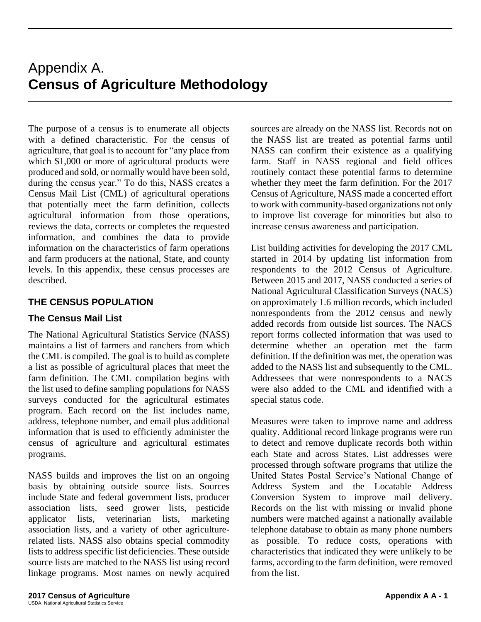## Appendix A. **Census of Agriculture Methodology**

The purpose of a census is to enumerate all objects with a defined characteristic. For the census of agriculture, that goal is to account for "any place from which \$1,000 or more of agricultural products were produced and sold, or normally would have been sold, during the census year." To do this, NASS creates a Census Mail List (CML) of agricultural operations that potentially meet the farm definition, collects agricultural information from those operations, reviews the data, corrects or completes the requested information, and combines the data to provide information on the characteristics of farm operations and farm producers at the national, State, and county levels. In this appendix, these census processes are described.

#### **THE CENSUS POPULATION**

#### **The Census Mail List**

The National Agricultural Statistics Service (NASS) maintains a list of farmers and ranchers from which the CML is compiled. The goal is to build as complete a list as possible of agricultural places that meet the farm definition. The CML compilation begins with the list used to define sampling populations for NASS surveys conducted for the agricultural estimates program. Each record on the list includes name, address, telephone number, and email plus additional information that is used to efficiently administer the census of agriculture and agricultural estimates programs.

NASS builds and improves the list on an ongoing basis by obtaining outside source lists. Sources include State and federal government lists, producer association lists, seed grower lists, pesticide applicator lists, veterinarian lists, marketing association lists, and a variety of other agriculturerelated lists. NASS also obtains special commodity lists to address specific list deficiencies. These outside source lists are matched to the NASS list using record linkage programs. Most names on newly acquired

sources are already on the NASS list. Records not on the NASS list are treated as potential farms until NASS can confirm their existence as a qualifying farm. Staff in NASS regional and field offices routinely contact these potential farms to determine whether they meet the farm definition. For the 2017 Census of Agriculture, NASS made a concerted effort to work with community-based organizations not only to improve list coverage for minorities but also to increase census awareness and participation.

List building activities for developing the 2017 CML started in 2014 by updating list information from respondents to the 2012 Census of Agriculture. Between 2015 and 2017, NASS conducted a series of National Agricultural Classification Surveys (NACS) on approximately 1.6 million records, which included nonrespondents from the 2012 census and newly added records from outside list sources. The NACS report forms collected information that was used to determine whether an operation met the farm definition. If the definition was met, the operation was added to the NASS list and subsequently to the CML. Addressees that were nonrespondents to a NACS were also added to the CML and identified with a special status code.

Measures were taken to improve name and address quality. Additional record linkage programs were run to detect and remove duplicate records both within each State and across States. List addresses were processed through software programs that utilize the United States Postal Service's National Change of Address System and the Locatable Address Conversion System to improve mail delivery. Records on the list with missing or invalid phone numbers were matched against a nationally available telephone database to obtain as many phone numbers as possible. To reduce costs, operations with characteristics that indicated they were unlikely to be farms, according to the farm definition, were removed from the list.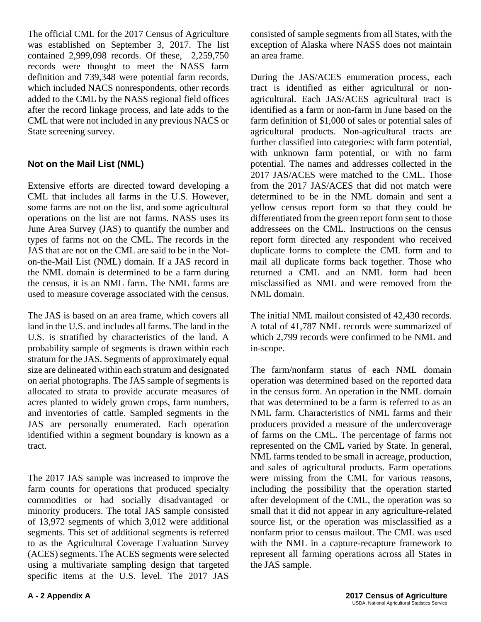The official CML for the 2017 Census of Agriculture was established on September 3, 2017. The list contained 2,999,098 records. Of these, 2,259,750 records were thought to meet the NASS farm definition and 739,348 were potential farm records, which included NACS nonrespondents, other records added to the CML by the NASS regional field offices after the record linkage process, and late adds to the CML that were not included in any previous NACS or State screening survey.

#### **Not on the Mail List (NML)**

Extensive efforts are directed toward developing a CML that includes all farms in the U.S. However, some farms are not on the list, and some agricultural operations on the list are not farms. NASS uses its June Area Survey (JAS) to quantify the number and types of farms not on the CML. The records in the JAS that are not on the CML are said to be in the Noton-the-Mail List (NML) domain. If a JAS record in the NML domain is determined to be a farm during the census, it is an NML farm. The NML farms are used to measure coverage associated with the census.

The JAS is based on an area frame, which covers all land in the U.S. and includes all farms. The land in the U.S. is stratified by characteristics of the land. A probability sample of segments is drawn within each stratum for the JAS. Segments of approximately equal size are delineated within each stratum and designated on aerial photographs. The JAS sample of segments is allocated to strata to provide accurate measures of acres planted to widely grown crops, farm numbers, and inventories of cattle. Sampled segments in the JAS are personally enumerated. Each operation identified within a segment boundary is known as a tract.

The 2017 JAS sample was increased to improve the farm counts for operations that produced specialty commodities or had socially disadvantaged or minority producers. The total JAS sample consisted of 13,972 segments of which 3,012 were additional segments. This set of additional segments is referred to as the Agricultural Coverage Evaluation Survey (ACES) segments. The ACES segments were selected using a multivariate sampling design that targeted specific items at the U.S. level. The 2017 JAS

consisted of sample segments from all States, with the exception of Alaska where NASS does not maintain an area frame.

During the JAS/ACES enumeration process, each tract is identified as either agricultural or nonagricultural. Each JAS/ACES agricultural tract is identified as a farm or non-farm in June based on the farm definition of \$1,000 of sales or potential sales of agricultural products. Non-agricultural tracts are further classified into categories: with farm potential, with unknown farm potential, or with no farm potential. The names and addresses collected in the 2017 JAS/ACES were matched to the CML. Those from the 2017 JAS/ACES that did not match were determined to be in the NML domain and sent a yellow census report form so that they could be differentiated from the green report form sent to those addressees on the CML. Instructions on the census report form directed any respondent who received duplicate forms to complete the CML form and to mail all duplicate forms back together. Those who returned a CML and an NML form had been misclassified as NML and were removed from the NML domain.

The initial NML mailout consisted of 42,430 records. A total of 41,787 NML records were summarized of which 2,799 records were confirmed to be NML and in-scope.

The farm/nonfarm status of each NML domain operation was determined based on the reported data in the census form. An operation in the NML domain that was determined to be a farm is referred to as an NML farm. Characteristics of NML farms and their producers provided a measure of the undercoverage of farms on the CML. The percentage of farms not represented on the CML varied by State. In general, NML farms tended to be small in acreage, production, and sales of agricultural products. Farm operations were missing from the CML for various reasons, including the possibility that the operation started after development of the CML, the operation was so small that it did not appear in any agriculture-related source list, or the operation was misclassified as a nonfarm prior to census mailout. The CML was used with the NML in a capture-recapture framework to represent all farming operations across all States in the JAS sample.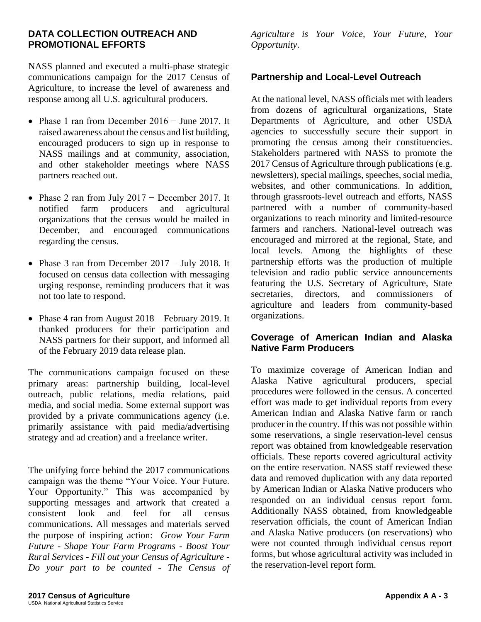#### **DATA COLLECTION OUTREACH AND PROMOTIONAL EFFORTS**

NASS planned and executed a multi-phase strategic communications campaign for the 2017 Census of Agriculture, to increase the level of awareness and response among all U.S. agricultural producers.

- Phase 1 ran from December 2016 − June 2017. It raised awareness about the census and list building, encouraged producers to sign up in response to NASS mailings and at community, association, and other stakeholder meetings where NASS partners reached out.
- Phase 2 ran from July 2017 − December 2017. It notified farm producers and agricultural organizations that the census would be mailed in December, and encouraged communications regarding the census.
- Phase 3 ran from December 2017 July 2018. It focused on census data collection with messaging urging response, reminding producers that it was not too late to respond.
- Phase 4 ran from August 2018 February 2019. It thanked producers for their participation and NASS partners for their support, and informed all of the February 2019 data release plan.

The communications campaign focused on these primary areas: partnership building, local-level outreach, public relations, media relations, paid media, and social media. Some external support was provided by a private communications agency (i.e. primarily assistance with paid media/advertising strategy and ad creation) and a freelance writer.

The unifying force behind the 2017 communications campaign was the theme "Your Voice. Your Future. Your Opportunity." This was accompanied by supporting messages and artwork that created a consistent look and feel for all census communications. All messages and materials served the purpose of inspiring action: *Grow Your Farm Future - Shape Your Farm Programs - Boost Your Rural Services* - *Fill out your Census of Agriculture - Do your part to be counted - The Census of*  *Agriculture is Your Voice, Your Future, Your Opportunity*.

#### **Partnership and Local-Level Outreach**

At the national level, NASS officials met with leaders from dozens of agricultural organizations, State Departments of Agriculture, and other USDA agencies to successfully secure their support in promoting the census among their constituencies. Stakeholders partnered with NASS to promote the 2017 Census of Agriculture through publications (e.g. newsletters), special mailings, speeches, social media, websites, and other communications. In addition, through grassroots-level outreach and efforts, NASS partnered with a number of community-based organizations to reach minority and limited-resource farmers and ranchers. National-level outreach was encouraged and mirrored at the regional, State, and local levels. Among the highlights of these partnership efforts was the production of multiple television and radio public service announcements featuring the U.S. Secretary of Agriculture, State secretaries, directors, and commissioners of agriculture and leaders from community-based organizations.

#### **Coverage of American Indian and Alaska Native Farm Producers**

To maximize coverage of American Indian and Alaska Native agricultural producers, special procedures were followed in the census. A concerted effort was made to get individual reports from every American Indian and Alaska Native farm or ranch producer in the country. If this was not possible within some reservations, a single reservation-level census report was obtained from knowledgeable reservation officials. These reports covered agricultural activity on the entire reservation. NASS staff reviewed these data and removed duplication with any data reported by American Indian or Alaska Native producers who responded on an individual census report form. Additionally NASS obtained, from knowledgeable reservation officials, the count of American Indian and Alaska Native producers (on reservations) who were not counted through individual census report forms, but whose agricultural activity was included in the reservation-level report form.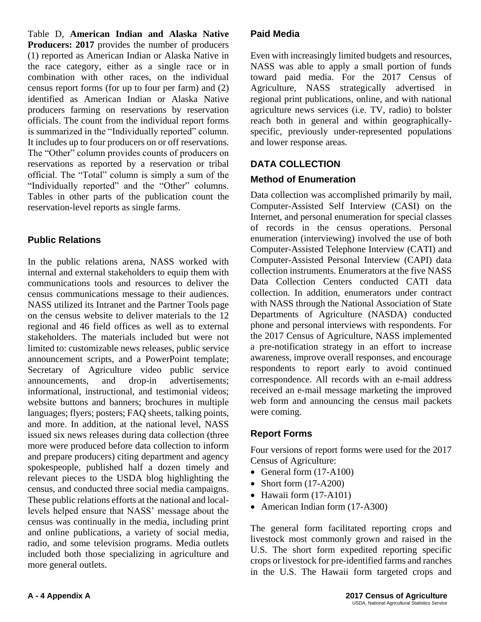Table D, **American Indian and Alaska Native Producers: 2017** provides the number of producers (1) reported as American Indian or Alaska Native in the race category, either as a single race or in combination with other races, on the individual census report forms (for up to four per farm) and (2) identified as American Indian or Alaska Native producers farming on reservations by reservation officials. The count from the individual report forms is summarized in the "Individually reported" column. It includes up to four producers on or off reservations. The "Other" column provides counts of producers on reservations as reported by a reservation or tribal official. The "Total" column is simply a sum of the "Individually reported" and the "Other" columns. Tables in other parts of the publication count the reservation-level reports as single farms.

## **Public Relations**

In the public relations arena, NASS worked with internal and external stakeholders to equip them with communications tools and resources to deliver the census communications message to their audiences. NASS utilized its Intranet and the Partner Tools page on the census website to deliver materials to the 12 regional and 46 field offices as well as to external stakeholders. The materials included but were not limited to: customizable news releases, public service announcement scripts, and a PowerPoint template; Secretary of Agriculture video public service announcements, and drop-in advertisements; informational, instructional, and testimonial videos; website buttons and banners; brochures in multiple languages; flyers; posters; FAQ sheets, talking points, and more. In addition, at the national level, NASS issued six news releases during data collection (three more were produced before data collection to inform and prepare producers) citing department and agency spokespeople, published half a dozen timely and relevant pieces to the USDA blog highlighting the census, and conducted three social media campaigns. These public relations efforts at the national and locallevels helped ensure that NASS' message about the census was continually in the media, including print and online publications, a variety of social media, radio, and some television programs. Media outlets included both those specializing in agriculture and more general outlets.

### **Paid Media**

Even with increasingly limited budgets and resources, NASS was able to apply a small portion of funds toward paid media. For the 2017 Census of Agriculture, NASS strategically advertised in regional print publications, online, and with national agriculture news services (i.e. TV, radio) to bolster reach both in general and within geographicallyspecific, previously under-represented populations and lower response areas.

## **DATA COLLECTION**

## **Method of Enumeration**

Data collection was accomplished primarily by mail, Computer-Assisted Self Interview (CASI) on the Internet, and personal enumeration for special classes of records in the census operations. Personal enumeration (interviewing) involved the use of both Computer-Assisted Telephone Interview (CATI) and Computer-Assisted Personal Interview (CAPI) data collection instruments. Enumerators at the five NASS Data Collection Centers conducted CATI data collection. In addition, enumerators under contract with NASS through the National Association of State Departments of Agriculture (NASDA) conducted phone and personal interviews with respondents. For the 2017 Census of Agriculture, NASS implemented a pre-notification strategy in an effort to increase awareness, improve overall responses, and encourage respondents to report early to avoid continued correspondence. All records with an e-mail address received an e-mail message marketing the improved web form and announcing the census mail packets were coming.

## **Report Forms**

Four versions of report forms were used for the 2017 Census of Agriculture:

- General form  $(17-A100)$
- Short form (17-A200)
- Hawaii form (17-A101)
- American Indian form (17-A300)

The general form facilitated reporting crops and livestock most commonly grown and raised in the U.S. The short form expedited reporting specific crops or livestock for pre-identified farms and ranches in the U.S. The Hawaii form targeted crops and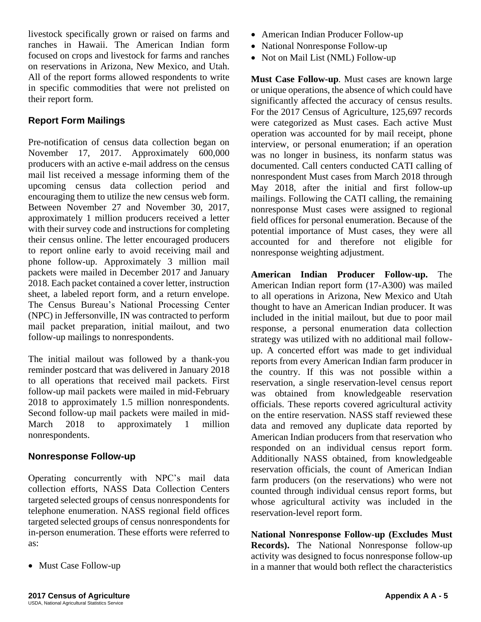livestock specifically grown or raised on farms and ranches in Hawaii. The American Indian form focused on crops and livestock for farms and ranches on reservations in Arizona, New Mexico, and Utah. All of the report forms allowed respondents to write in specific commodities that were not prelisted on their report form.

#### **Report Form Mailings**

Pre-notification of census data collection began on November 17, 2017. Approximately 600,000 producers with an active e-mail address on the census mail list received a message informing them of the upcoming census data collection period and encouraging them to utilize the new census web form. Between November 27 and November 30, 2017, approximately 1 million producers received a letter with their survey code and instructions for completing their census online. The letter encouraged producers to report online early to avoid receiving mail and phone follow-up. Approximately 3 million mail packets were mailed in December 2017 and January 2018. Each packet contained a cover letter, instruction sheet, a labeled report form, and a return envelope. The Census Bureau's National Processing Center (NPC) in Jeffersonville, IN was contracted to perform mail packet preparation, initial mailout, and two follow-up mailings to nonrespondents.

The initial mailout was followed by a thank-you reminder postcard that was delivered in January 2018 to all operations that received mail packets. First follow-up mail packets were mailed in mid-February 2018 to approximately 1.5 million nonrespondents. Second follow-up mail packets were mailed in mid-March 2018 to approximately 1 million nonrespondents.

#### **Nonresponse Follow-up**

Operating concurrently with NPC's mail data collection efforts, NASS Data Collection Centers targeted selected groups of census nonrespondents for telephone enumeration. NASS regional field offices targeted selected groups of census nonrespondents for in-person enumeration. These efforts were referred to as:

• Must Case Follow-up

- American Indian Producer Follow-up
- National Nonresponse Follow-up
- Not on Mail List (NML) Follow-up

**Must Case Follow-up***.* Must cases are known large or unique operations, the absence of which could have significantly affected the accuracy of census results. For the 2017 Census of Agriculture, 125,697 records were categorized as Must cases. Each active Must operation was accounted for by mail receipt, phone interview, or personal enumeration; if an operation was no longer in business, its nonfarm status was documented. Call centers conducted CATI calling of nonrespondent Must cases from March 2018 through May 2018, after the initial and first follow-up mailings. Following the CATI calling, the remaining nonresponse Must cases were assigned to regional field offices for personal enumeration. Because of the potential importance of Must cases, they were all accounted for and therefore not eligible for nonresponse weighting adjustment.

**American Indian Producer Follow-up.** The American Indian report form (17-A300) was mailed to all operations in Arizona, New Mexico and Utah thought to have an American Indian producer. It was included in the initial mailout, but due to poor mail response, a personal enumeration data collection strategy was utilized with no additional mail followup. A concerted effort was made to get individual reports from every American Indian farm producer in the country. If this was not possible within a reservation, a single reservation-level census report was obtained from knowledgeable reservation officials. These reports covered agricultural activity on the entire reservation. NASS staff reviewed these data and removed any duplicate data reported by American Indian producers from that reservation who responded on an individual census report form. Additionally NASS obtained, from knowledgeable reservation officials, the count of American Indian farm producers (on the reservations) who were not counted through individual census report forms, but whose agricultural activity was included in the reservation-level report form.

**National Nonresponse Follow-up (Excludes Must Records).** The National Nonresponse follow-up activity was designed to focus nonresponse follow-up in a manner that would both reflect the characteristics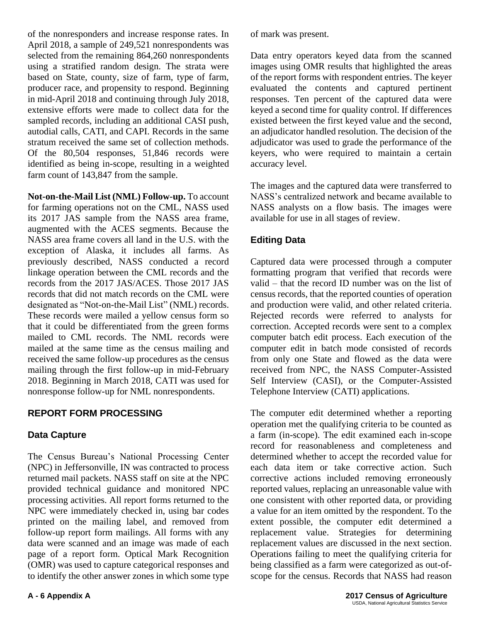of the nonresponders and increase response rates. In April 2018, a sample of 249,521 nonrespondents was selected from the remaining 864,260 nonrespondents using a stratified random design. The strata were based on State, county, size of farm, type of farm, producer race, and propensity to respond. Beginning in mid-April 2018 and continuing through July 2018, extensive efforts were made to collect data for the sampled records, including an additional CASI push, autodial calls, CATI, and CAPI. Records in the same stratum received the same set of collection methods. Of the 80,504 responses, 51,846 records were identified as being in-scope, resulting in a weighted farm count of 143,847 from the sample.

**Not-on-the-Mail List (NML) Follow-up.** To account for farming operations not on the CML, NASS used its 2017 JAS sample from the NASS area frame, augmented with the ACES segments. Because the NASS area frame covers all land in the U.S. with the exception of Alaska, it includes all farms. As previously described, NASS conducted a record linkage operation between the CML records and the records from the 2017 JAS/ACES. Those 2017 JAS records that did not match records on the CML were designated as "Not-on-the-Mail List" (NML) records. These records were mailed a yellow census form so that it could be differentiated from the green forms mailed to CML records. The NML records were mailed at the same time as the census mailing and received the same follow-up procedures as the census mailing through the first follow-up in mid-February 2018. Beginning in March 2018, CATI was used for nonresponse follow-up for NML nonrespondents.

#### **REPORT FORM PROCESSING**

#### **Data Capture**

The Census Bureau's National Processing Center (NPC) in Jeffersonville, IN was contracted to process returned mail packets. NASS staff on site at the NPC provided technical guidance and monitored NPC processing activities. All report forms returned to the NPC were immediately checked in, using bar codes printed on the mailing label, and removed from follow-up report form mailings. All forms with any data were scanned and an image was made of each page of a report form. Optical Mark Recognition (OMR) was used to capture categorical responses and to identify the other answer zones in which some type

of mark was present.

Data entry operators keyed data from the scanned images using OMR results that highlighted the areas of the report forms with respondent entries. The keyer evaluated the contents and captured pertinent responses. Ten percent of the captured data were keyed a second time for quality control. If differences existed between the first keyed value and the second, an adjudicator handled resolution. The decision of the adjudicator was used to grade the performance of the keyers, who were required to maintain a certain accuracy level.

The images and the captured data were transferred to NASS's centralized network and became available to NASS analysts on a flow basis. The images were available for use in all stages of review.

### **Editing Data**

Captured data were processed through a computer formatting program that verified that records were valid – that the record ID number was on the list of census records, that the reported counties of operation and production were valid, and other related criteria. Rejected records were referred to analysts for correction. Accepted records were sent to a complex computer batch edit process. Each execution of the computer edit in batch mode consisted of records from only one State and flowed as the data were received from NPC, the NASS Computer-Assisted Self Interview (CASI), or the Computer-Assisted Telephone Interview (CATI) applications.

The computer edit determined whether a reporting operation met the qualifying criteria to be counted as a farm (in-scope). The edit examined each in-scope record for reasonableness and completeness and determined whether to accept the recorded value for each data item or take corrective action. Such corrective actions included removing erroneously reported values, replacing an unreasonable value with one consistent with other reported data, or providing a value for an item omitted by the respondent. To the extent possible, the computer edit determined a replacement value. Strategies for determining replacement values are discussed in the next section. Operations failing to meet the qualifying criteria for being classified as a farm were categorized as out-ofscope for the census. Records that NASS had reason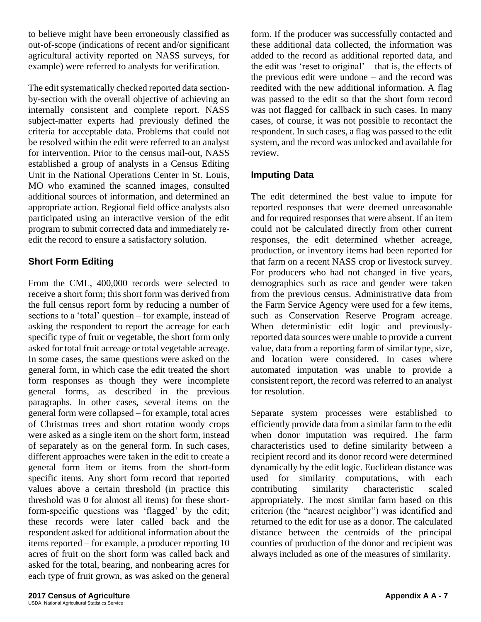to believe might have been erroneously classified as out-of-scope (indications of recent and/or significant agricultural activity reported on NASS surveys, for example) were referred to analysts for verification.

The edit systematically checked reported data sectionby-section with the overall objective of achieving an internally consistent and complete report. NASS subject-matter experts had previously defined the criteria for acceptable data. Problems that could not be resolved within the edit were referred to an analyst for intervention. Prior to the census mail-out, NASS established a group of analysts in a Census Editing Unit in the National Operations Center in St. Louis, MO who examined the scanned images, consulted additional sources of information, and determined an appropriate action. Regional field office analysts also participated using an interactive version of the edit program to submit corrected data and immediately reedit the record to ensure a satisfactory solution.

### **Short Form Editing**

From the CML, 400,000 records were selected to receive a short form; this short form was derived from the full census report form by reducing a number of sections to a 'total' question – for example, instead of asking the respondent to report the acreage for each specific type of fruit or vegetable, the short form only asked for total fruit acreage or total vegetable acreage. In some cases, the same questions were asked on the general form, in which case the edit treated the short form responses as though they were incomplete general forms, as described in the previous paragraphs. In other cases, several items on the general form were collapsed – for example, total acres of Christmas trees and short rotation woody crops were asked as a single item on the short form, instead of separately as on the general form. In such cases, different approaches were taken in the edit to create a general form item or items from the short-form specific items. Any short form record that reported values above a certain threshold (in practice this threshold was 0 for almost all items) for these shortform-specific questions was 'flagged' by the edit; these records were later called back and the respondent asked for additional information about the items reported – for example, a producer reporting 10 acres of fruit on the short form was called back and asked for the total, bearing, and nonbearing acres for each type of fruit grown, as was asked on the general form. If the producer was successfully contacted and these additional data collected, the information was added to the record as additional reported data, and the edit was 'reset to original' – that is, the effects of the previous edit were undone – and the record was reedited with the new additional information. A flag was passed to the edit so that the short form record was not flagged for callback in such cases. In many cases, of course, it was not possible to recontact the respondent. In such cases, a flag was passed to the edit system, and the record was unlocked and available for review.

### **Imputing Data**

The edit determined the best value to impute for reported responses that were deemed unreasonable and for required responses that were absent. If an item could not be calculated directly from other current responses, the edit determined whether acreage, production, or inventory items had been reported for that farm on a recent NASS crop or livestock survey. For producers who had not changed in five years, demographics such as race and gender were taken from the previous census. Administrative data from the Farm Service Agency were used for a few items, such as Conservation Reserve Program acreage. When deterministic edit logic and previouslyreported data sources were unable to provide a current value, data from a reporting farm of similar type, size, and location were considered. In cases where automated imputation was unable to provide a consistent report, the record was referred to an analyst for resolution.

Separate system processes were established to efficiently provide data from a similar farm to the edit when donor imputation was required. The farm characteristics used to define similarity between a recipient record and its donor record were determined dynamically by the edit logic. Euclidean distance was used for similarity computations, with each contributing similarity characteristic scaled appropriately. The most similar farm based on this criterion (the "nearest neighbor") was identified and returned to the edit for use as a donor. The calculated distance between the centroids of the principal counties of production of the donor and recipient was always included as one of the measures of similarity.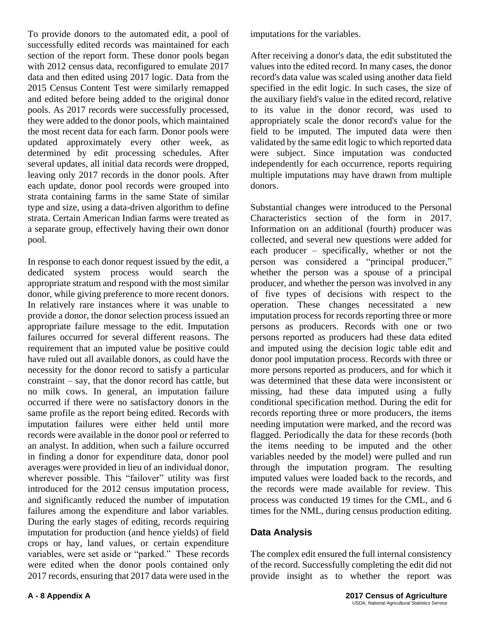To provide donors to the automated edit, a pool of successfully edited records was maintained for each section of the report form. These donor pools began with 2012 census data, reconfigured to emulate 2017 data and then edited using 2017 logic. Data from the 2015 Census Content Test were similarly remapped and edited before being added to the original donor pools. As 2017 records were successfully processed, they were added to the donor pools, which maintained the most recent data for each farm. Donor pools were updated approximately every other week, as determined by edit processing schedules. After several updates, all initial data records were dropped, leaving only 2017 records in the donor pools. After each update, donor pool records were grouped into strata containing farms in the same State of similar type and size, using a data-driven algorithm to define strata. Certain American Indian farms were treated as a separate group, effectively having their own donor pool.

In response to each donor request issued by the edit, a dedicated system process would search the appropriate stratum and respond with the most similar donor, while giving preference to more recent donors. In relatively rare instances where it was unable to provide a donor, the donor selection process issued an appropriate failure message to the edit. Imputation failures occurred for several different reasons. The requirement that an imputed value be positive could have ruled out all available donors, as could have the necessity for the donor record to satisfy a particular constraint – say, that the donor record has cattle, but no milk cows. In general, an imputation failure occurred if there were no satisfactory donors in the same profile as the report being edited. Records with imputation failures were either held until more records were available in the donor pool or referred to an analyst. In addition, when such a failure occurred in finding a donor for expenditure data, donor pool averages were provided in lieu of an individual donor, wherever possible. This "failover" utility was first introduced for the 2012 census imputation process, and significantly reduced the number of imputation failures among the expenditure and labor variables. During the early stages of editing, records requiring imputation for production (and hence yields) of field crops or hay, land values, or certain expenditure variables, were set aside or "parked." These records were edited when the donor pools contained only 2017 records, ensuring that 2017 data were used in the

imputations for the variables.

After receiving a donor's data, the edit substituted the values into the edited record. In many cases, the donor record's data value was scaled using another data field specified in the edit logic. In such cases, the size of the auxiliary field's value in the edited record, relative to its value in the donor record, was used to appropriately scale the donor record's value for the field to be imputed. The imputed data were then validated by the same edit logic to which reported data were subject. Since imputation was conducted independently for each occurrence, reports requiring multiple imputations may have drawn from multiple donors.

Substantial changes were introduced to the Personal Characteristics section of the form in 2017. Information on an additional (fourth) producer was collected, and several new questions were added for each producer – specifically, whether or not the person was considered a "principal producer," whether the person was a spouse of a principal producer, and whether the person was involved in any of five types of decisions with respect to the operation. These changes necessitated a new imputation process for records reporting three or more persons as producers. Records with one or two persons reported as producers had these data edited and imputed using the decision logic table edit and donor pool imputation process. Records with three or more persons reported as producers, and for which it was determined that these data were inconsistent or missing, had these data imputed using a fully conditional specification method. During the edit for records reporting three or more producers, the items needing imputation were marked, and the record was flagged. Periodically the data for these records (both the items needing to be imputed and the other variables needed by the model) were pulled and run through the imputation program. The resulting imputed values were loaded back to the records, and the records were made available for review. This process was conducted 19 times for the CML, and 6 times for the NML, during census production editing.

#### **Data Analysis**

The complex edit ensured the full internal consistency of the record. Successfully completing the edit did not provide insight as to whether the report was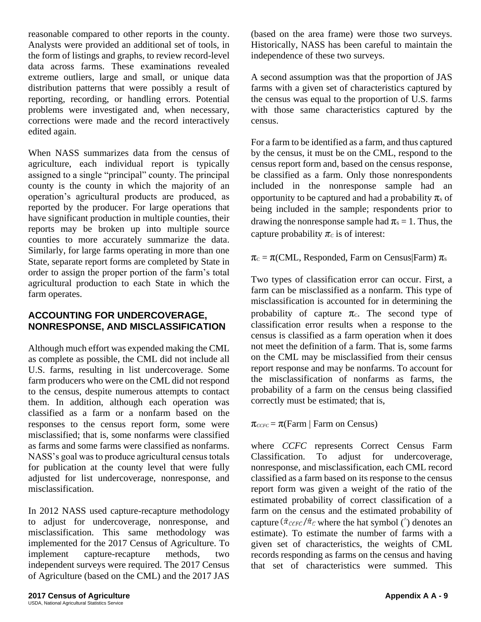reasonable compared to other reports in the county. Analysts were provided an additional set of tools, in the form of listings and graphs, to review record-level data across farms. These examinations revealed extreme outliers, large and small, or unique data distribution patterns that were possibly a result of reporting, recording, or handling errors. Potential problems were investigated and, when necessary, corrections were made and the record interactively edited again.

When NASS summarizes data from the census of agriculture, each individual report is typically assigned to a single "principal" county. The principal county is the county in which the majority of an operation's agricultural products are produced, as reported by the producer. For large operations that have significant production in multiple counties, their reports may be broken up into multiple source counties to more accurately summarize the data. Similarly, for large farms operating in more than one State, separate report forms are completed by State in order to assign the proper portion of the farm's total agricultural production to each State in which the farm operates.

#### **ACCOUNTING FOR UNDERCOVERAGE, NONRESPONSE, AND MISCLASSIFICATION**

Although much effort was expended making the CML as complete as possible, the CML did not include all U.S. farms, resulting in list undercoverage. Some farm producers who were on the CML did not respond to the census, despite numerous attempts to contact them. In addition, although each operation was classified as a farm or a nonfarm based on the responses to the census report form, some were misclassified; that is, some nonfarms were classified as farms and some farms were classified as nonfarms. NASS's goal was to produce agricultural census totals for publication at the county level that were fully adjusted for list undercoverage, nonresponse, and misclassification.

In 2012 NASS used capture-recapture methodology to adjust for undercoverage, nonresponse, and misclassification. This same methodology was implemented for the 2017 Census of Agriculture. To implement capture-recapture methods, two independent surveys were required. The 2017 Census of Agriculture (based on the CML) and the 2017 JAS

(based on the area frame) were those two surveys. Historically, NASS has been careful to maintain the independence of these two surveys.

A second assumption was that the proportion of JAS farms with a given set of characteristics captured by the census was equal to the proportion of U.S. farms with those same characteristics captured by the census.

For a farm to be identified as a farm, and thus captured by the census, it must be on the CML, respond to the census report form and, based on the census response, be classified as a farm. Only those nonrespondents included in the nonresponse sample had an opportunity to be captured and had a probability  $\pi_s$  of being included in the sample; respondents prior to drawing the nonresponse sample had  $\pi_s = 1$ . Thus, the capture probability  $\pi_c$  is of interest:

 $\pi_c = \pi$ (CML, Responded, Farm on Census|Farm)  $\pi_s$ 

Two types of classification error can occur. First, a farm can be misclassified as a nonfarm. This type of misclassification is accounted for in determining the probability of capture  $\pi_c$ . The second type of classification error results when a response to the census is classified as a farm operation when it does not meet the definition of a farm. That is, some farms on the CML may be misclassified from their census report response and may be nonfarms. To account for the misclassification of nonfarms as farms, the probability of a farm on the census being classified correctly must be estimated; that is,

 $\pi_{\text{CCFC}} = \pi(\text{Farm} \mid \text{Farm on Census})$ 

where *CCFC* represents Correct Census Farm Classification. To adjust for undercoverage, nonresponse, and misclassification, each CML record classified as a farm based on its response to the census report form was given a weight of the ratio of the estimated probability of correct classification of a farm on the census and the estimated probability of capture  $(\hat{\pi}_{\text{CCFC}}/\hat{\pi}_{\text{C}})$  where the hat symbol ( $\hat{\ }$ ) denotes an estimate). To estimate the number of farms with a given set of characteristics, the weights of CML records responding as farms on the census and having that set of characteristics were summed. This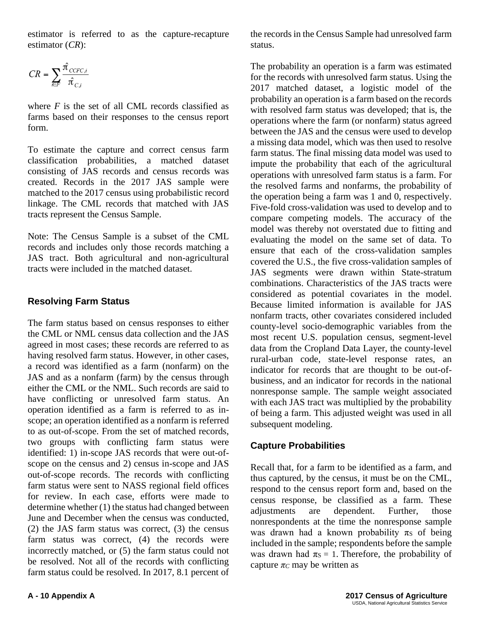estimator is referred to as the capture-recapture estimator (*CR*):

$$
CR = \sum_{i \in F} \frac{\hat{\pi}_{\textit{CCFC},i}}{\hat{\pi}_{\textit{C},i}}
$$

where  $F$  is the set of all CML records classified as farms based on their responses to the census report form.

To estimate the capture and correct census farm classification probabilities, a matched dataset consisting of JAS records and census records was created. Records in the 2017 JAS sample were matched to the 2017 census using probabilistic record linkage. The CML records that matched with JAS tracts represent the Census Sample.

Note: The Census Sample is a subset of the CML records and includes only those records matching a JAS tract. Both agricultural and non-agricultural tracts were included in the matched dataset.

### **Resolving Farm Status**

The farm status based on census responses to either the CML or NML census data collection and the JAS agreed in most cases; these records are referred to as having resolved farm status. However, in other cases, a record was identified as a farm (nonfarm) on the JAS and as a nonfarm (farm) by the census through either the CML or the NML. Such records are said to have conflicting or unresolved farm status. An operation identified as a farm is referred to as inscope; an operation identified as a nonfarm is referred to as out-of-scope. From the set of matched records, two groups with conflicting farm status were identified: 1) in-scope JAS records that were out-ofscope on the census and 2) census in-scope and JAS out-of-scope records. The records with conflicting farm status were sent to NASS regional field offices for review. In each case, efforts were made to determine whether (1) the status had changed between June and December when the census was conducted, (2) the JAS farm status was correct, (3) the census farm status was correct, (4) the records were incorrectly matched, or (5) the farm status could not be resolved. Not all of the records with conflicting farm status could be resolved. In 2017, 8.1 percent of the records in the Census Sample had unresolved farm status.

The probability an operation is a farm was estimated for the records with unresolved farm status. Using the 2017 matched dataset, a logistic model of the probability an operation is a farm based on the records with resolved farm status was developed; that is, the operations where the farm (or nonfarm) status agreed between the JAS and the census were used to develop a missing data model, which was then used to resolve farm status. The final missing data model was used to impute the probability that each of the agricultural operations with unresolved farm status is a farm. For the resolved farms and nonfarms, the probability of the operation being a farm was 1 and 0, respectively. Five-fold cross-validation was used to develop and to compare competing models. The accuracy of the model was thereby not overstated due to fitting and evaluating the model on the same set of data. To ensure that each of the cross-validation samples covered the U.S., the five cross-validation samples of JAS segments were drawn within State-stratum combinations. Characteristics of the JAS tracts were considered as potential covariates in the model. Because limited information is available for JAS nonfarm tracts, other covariates considered included county-level socio-demographic variables from the most recent U.S. population census, segment-level data from the Cropland Data Layer, the county-level rural-urban code, state-level response rates, an indicator for records that are thought to be out-ofbusiness, and an indicator for records in the national nonresponse sample. The sample weight associated with each JAS tract was multiplied by the probability of being a farm. This adjusted weight was used in all subsequent modeling.

#### **Capture Probabilities**

Recall that, for a farm to be identified as a farm, and thus captured, by the census, it must be on the CML, respond to the census report form and, based on the census response, be classified as a farm. These adjustments are dependent. Further, those nonrespondents at the time the nonresponse sample was drawn had a known probability  $\pi_S$  of being included in the sample; respondents before the sample was drawn had  $\pi s = 1$ . Therefore, the probability of capture  $\pi$ *C* may be written as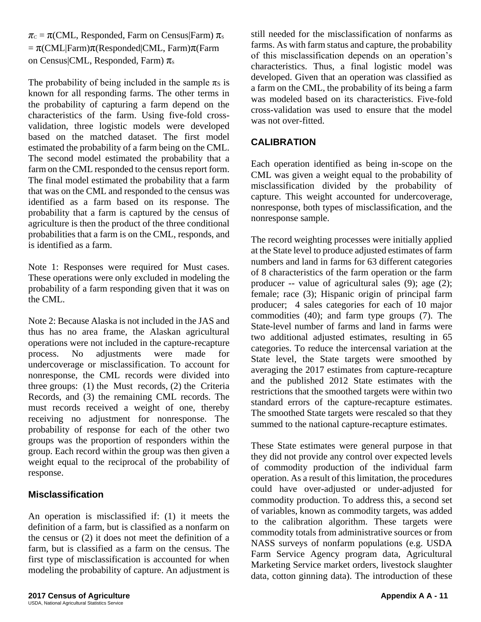$\pi_c = \pi$ (CML, Responded, Farm on Census|Farm)  $\pi_s$  $= \pi$ (CML|Farm) $\pi$ (Responded|CML, Farm) $\pi$ (Farm on Census|CML, Responded, Farm)  $\pi_s$ 

The probability of being included in the sample  $\pi_S$  is known for all responding farms. The other terms in the probability of capturing a farm depend on the characteristics of the farm. Using five-fold crossvalidation, three logistic models were developed based on the matched dataset. The first model estimated the probability of a farm being on the CML. The second model estimated the probability that a farm on the CML responded to the census report form. The final model estimated the probability that a farm that was on the CML and responded to the census was identified as a farm based on its response. The probability that a farm is captured by the census of agriculture is then the product of the three conditional probabilities that a farm is on the CML, responds, and is identified as a farm.

Note 1: Responses were required for Must cases. These operations were only excluded in modeling the probability of a farm responding given that it was on the CML.

Note 2: Because Alaska is not included in the JAS and thus has no area frame, the Alaskan agricultural operations were not included in the capture-recapture process. No adjustments were made for undercoverage or misclassification. To account for nonresponse, the CML records were divided into three groups: (1) the Must records, (2) the Criteria Records, and (3) the remaining CML records. The must records received a weight of one, thereby receiving no adjustment for nonresponse. The probability of response for each of the other two groups was the proportion of responders within the group. Each record within the group was then given a weight equal to the reciprocal of the probability of response.

#### **Misclassification**

An operation is misclassified if: (1) it meets the definition of a farm, but is classified as a nonfarm on the census or (2) it does not meet the definition of a farm, but is classified as a farm on the census. The first type of misclassification is accounted for when modeling the probability of capture. An adjustment is still needed for the misclassification of nonfarms as farms. As with farm status and capture, the probability of this misclassification depends on an operation's characteristics. Thus, a final logistic model was developed. Given that an operation was classified as a farm on the CML, the probability of its being a farm was modeled based on its characteristics. Five-fold cross-validation was used to ensure that the model was not over-fitted.

#### **CALIBRATION**

Each operation identified as being in-scope on the CML was given a weight equal to the probability of misclassification divided by the probability of capture. This weight accounted for undercoverage, nonresponse, both types of misclassification, and the nonresponse sample.

The record weighting processes were initially applied at the State level to produce adjusted estimates of farm numbers and land in farms for 63 different categories of 8 characteristics of the farm operation or the farm producer -- value of agricultural sales (9); age (2); female; race (3); Hispanic origin of principal farm producer; 4 sales categories for each of 10 major commodities (40); and farm type groups (7). The State-level number of farms and land in farms were two additional adjusted estimates, resulting in 65 categories. To reduce the intercensal variation at the State level, the State targets were smoothed by averaging the 2017 estimates from capture-recapture and the published 2012 State estimates with the restrictions that the smoothed targets were within two standard errors of the capture-recapture estimates. The smoothed State targets were rescaled so that they summed to the national capture-recapture estimates.

These State estimates were general purpose in that they did not provide any control over expected levels of commodity production of the individual farm operation. As a result of this limitation, the procedures could have over-adjusted or under-adjusted for commodity production. To address this, a second set of variables, known as commodity targets, was added to the calibration algorithm. These targets were commodity totals from administrative sources or from NASS surveys of nonfarm populations (e.g. USDA Farm Service Agency program data, Agricultural Marketing Service market orders, livestock slaughter data, cotton ginning data). The introduction of these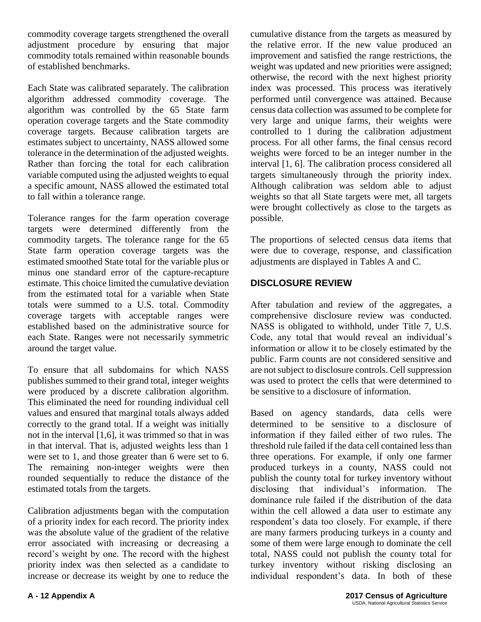commodity coverage targets strengthened the overall adjustment procedure by ensuring that major commodity totals remained within reasonable bounds of established benchmarks.

Each State was calibrated separately. The calibration algorithm addressed commodity coverage. The algorithm was controlled by the 65 State farm operation coverage targets and the State commodity coverage targets. Because calibration targets are estimates subject to uncertainty, NASS allowed some tolerance in the determination of the adjusted weights. Rather than forcing the total for each calibration variable computed using the adjusted weights to equal a specific amount, NASS allowed the estimated total to fall within a tolerance range.

Tolerance ranges for the farm operation coverage targets were determined differently from the commodity targets. The tolerance range for the 65 State farm operation coverage targets was the estimated smoothed State total for the variable plus or minus one standard error of the capture-recapture estimate. This choice limited the cumulative deviation from the estimated total for a variable when State totals were summed to a U.S. total. Commodity coverage targets with acceptable ranges were established based on the administrative source for each State. Ranges were not necessarily symmetric around the target value.

To ensure that all subdomains for which NASS publishes summed to their grand total, integer weights were produced by a discrete calibration algorithm. This eliminated the need for rounding individual cell values and ensured that marginal totals always added correctly to the grand total. If a weight was initially not in the interval [1,6], it was trimmed so that in was in that interval. That is, adjusted weights less than 1 were set to 1, and those greater than 6 were set to 6. The remaining non-integer weights were then rounded sequentially to reduce the distance of the estimated totals from the targets.

Calibration adjustments began with the computation of a priority index for each record. The priority index was the absolute value of the gradient of the relative error associated with increasing or decreasing a record's weight by one. The record with the highest priority index was then selected as a candidate to increase or decrease its weight by one to reduce the

cumulative distance from the targets as measured by the relative error. If the new value produced an improvement and satisfied the range restrictions, the weight was updated and new priorities were assigned; otherwise, the record with the next highest priority index was processed. This process was iteratively performed until convergence was attained. Because census data collection was assumed to be complete for very large and unique farms, their weights were controlled to 1 during the calibration adjustment process. For all other farms, the final census record weights were forced to be an integer number in the interval [1, 6]. The calibration process considered all targets simultaneously through the priority index. Although calibration was seldom able to adjust weights so that all State targets were met, all targets were brought collectively as close to the targets as possible.

The proportions of selected census data items that were due to coverage, response, and classification adjustments are displayed in Tables A and C.

### **DISCLOSURE REVIEW**

After tabulation and review of the aggregates, a comprehensive disclosure review was conducted. NASS is obligated to withhold, under Title 7, U.S. Code, any total that would reveal an individual's information or allow it to be closely estimated by the public. Farm counts are not considered sensitive and are not subject to disclosure controls. Cell suppression was used to protect the cells that were determined to be sensitive to a disclosure of information.

Based on agency standards, data cells were determined to be sensitive to a disclosure of information if they failed either of two rules. The threshold rule failed if the data cell contained less than three operations. For example, if only one farmer produced turkeys in a county, NASS could not publish the county total for turkey inventory without disclosing that individual's information. The dominance rule failed if the distribution of the data within the cell allowed a data user to estimate any respondent's data too closely. For example, if there are many farmers producing turkeys in a county and some of them were large enough to dominate the cell total, NASS could not publish the county total for turkey inventory without risking disclosing an individual respondent's data. In both of these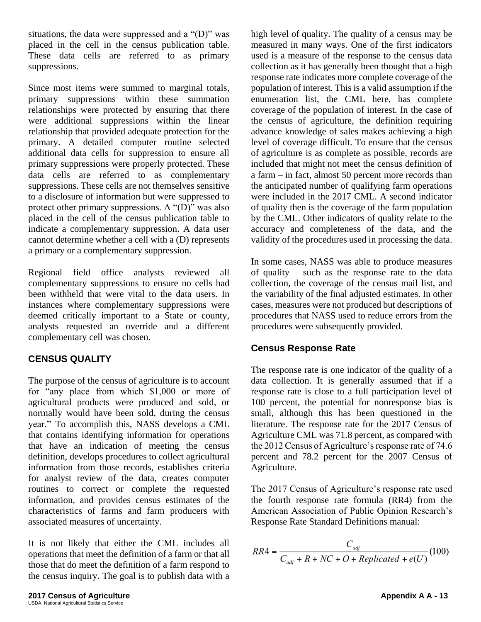situations, the data were suppressed and a " $(D)$ " was placed in the cell in the census publication table. These data cells are referred to as primary suppressions.

Since most items were summed to marginal totals, primary suppressions within these summation relationships were protected by ensuring that there were additional suppressions within the linear relationship that provided adequate protection for the primary. A detailed computer routine selected additional data cells for suppression to ensure all primary suppressions were properly protected. These data cells are referred to as complementary suppressions. These cells are not themselves sensitive to a disclosure of information but were suppressed to protect other primary suppressions. A "(D)" was also placed in the cell of the census publication table to indicate a complementary suppression. A data user cannot determine whether a cell with a (D) represents a primary or a complementary suppression.

Regional field office analysts reviewed all complementary suppressions to ensure no cells had been withheld that were vital to the data users. In instances where complementary suppressions were deemed critically important to a State or county, analysts requested an override and a different complementary cell was chosen.

#### **CENSUS QUALITY**

The purpose of the census of agriculture is to account for "any place from which \$1,000 or more of agricultural products were produced and sold, or normally would have been sold, during the census year." To accomplish this, NASS develops a CML that contains identifying information for operations that have an indication of meeting the census definition, develops procedures to collect agricultural information from those records, establishes criteria for analyst review of the data, creates computer routines to correct or complete the requested information, and provides census estimates of the characteristics of farms and farm producers with associated measures of uncertainty.

It is not likely that either the CML includes all operations that meet the definition of a farm or that all those that do meet the definition of a farm respond to the census inquiry. The goal is to publish data with a high level of quality. The quality of a census may be measured in many ways. One of the first indicators used is a measure of the response to the census data collection as it has generally been thought that a high response rate indicates more complete coverage of the population of interest. This is a valid assumption if the enumeration list, the CML here, has complete coverage of the population of interest. In the case of the census of agriculture, the definition requiring advance knowledge of sales makes achieving a high level of coverage difficult. To ensure that the census of agriculture is as complete as possible, records are included that might not meet the census definition of a farm – in fact, almost 50 percent more records than the anticipated number of qualifying farm operations were included in the 2017 CML. A second indicator of quality then is the coverage of the farm population by the CML. Other indicators of quality relate to the accuracy and completeness of the data, and the validity of the procedures used in processing the data.

In some cases, NASS was able to produce measures of quality – such as the response rate to the data collection, the coverage of the census mail list, and the variability of the final adjusted estimates. In other cases, measures were not produced but descriptions of procedures that NASS used to reduce errors from the procedures were subsequently provided.

#### **Census Response Rate**

The response rate is one indicator of the quality of a data collection. It is generally assumed that if a response rate is close to a full participation level of 100 percent, the potential for nonresponse bias is small, although this has been questioned in the literature. The response rate for the 2017 Census of Agriculture CML was 71.8 percent, as compared with the 2012 Census of Agriculture's response rate of 74.6 percent and 78.2 percent for the 2007 Census of Agriculture.

The 2017 Census of Agriculture's response rate used the fourth response rate formula (RR4) from the American Association of Public Opinion Research's Response Rate Standard Definitions manual:

$$
RR4 = \frac{C_{\text{adj}}}{C_{\text{adj}} + R + NC + O + Replicated + e(U)}(100)
$$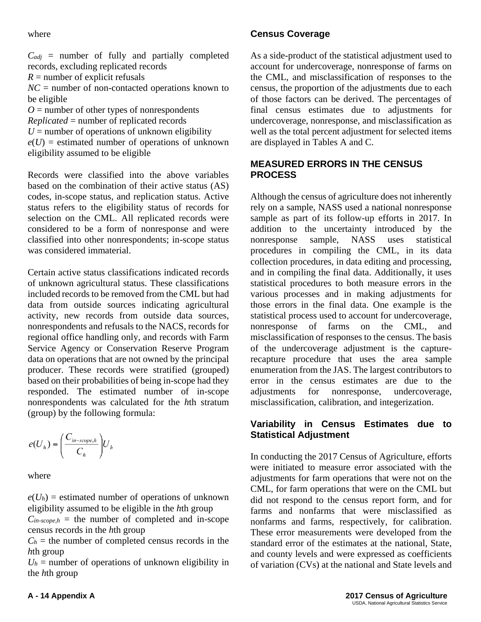#### where

 $C_{adj}$  = number of fully and partially completed records, excluding replicated records  $R =$  number of explicit refusals  $NC =$  number of non-contacted operations known to be eligible

*O* = number of other types of nonrespondents *Replicated* = number of replicated records  $U =$  number of operations of unknown eligibility  $e(U)$  = estimated number of operations of unknown eligibility assumed to be eligible

Records were classified into the above variables based on the combination of their active status (AS) codes, in-scope status, and replication status. Active status refers to the eligibility status of records for selection on the CML. All replicated records were considered to be a form of nonresponse and were classified into other nonrespondents; in-scope status was considered immaterial.

Certain active status classifications indicated records of unknown agricultural status. These classifications included records to be removed from the CML but had data from outside sources indicating agricultural activity, new records from outside data sources, nonrespondents and refusals to the NACS, records for regional office handling only, and records with Farm Service Agency or Conservation Reserve Program data on operations that are not owned by the principal producer. These records were stratified (grouped) based on their probabilities of being in-scope had they responded. The estimated number of in-scope nonrespondents was calculated for the *h*th stratum (group) by the following formula:

$$
e(U_h) = \left(\frac{C_{in-score,h}}{C_h}\right)U_h
$$

where

 $e(U_h)$  = estimated number of operations of unknown eligibility assumed to be eligible in the *h*th group  $C_{in-scope,h}$  = the number of completed and in-scope census records in the *h*th group

 $C_h$  = the number of completed census records in the *h*th group

 $U_h$  = number of operations of unknown eligibility in the *h*th group

### **Census Coverage**

As a side-product of the statistical adjustment used to account for undercoverage, nonresponse of farms on the CML, and misclassification of responses to the census, the proportion of the adjustments due to each of those factors can be derived. The percentages of final census estimates due to adjustments for undercoverage, nonresponse, and misclassification as well as the total percent adjustment for selected items are displayed in Tables A and C.

#### **MEASURED ERRORS IN THE CENSUS PROCESS**

Although the census of agriculture does not inherently rely on a sample, NASS used a national nonresponse sample as part of its follow-up efforts in 2017. In addition to the uncertainty introduced by the nonresponse sample, NASS uses statistical procedures in compiling the CML, in its data collection procedures, in data editing and processing, and in compiling the final data. Additionally, it uses statistical procedures to both measure errors in the various processes and in making adjustments for those errors in the final data. One example is the statistical process used to account for undercoverage, nonresponse of farms on the CML, and misclassification of responses to the census. The basis of the undercoverage adjustment is the capturerecapture procedure that uses the area sample enumeration from the JAS. The largest contributors to error in the census estimates are due to the adjustments for nonresponse, undercoverage, misclassification, calibration, and integerization.

#### **Variability in Census Estimates due to Statistical Adjustment**

In conducting the 2017 Census of Agriculture, efforts were initiated to measure error associated with the adjustments for farm operations that were not on the CML, for farm operations that were on the CML but did not respond to the census report form, and for farms and nonfarms that were misclassified as nonfarms and farms, respectively, for calibration. These error measurements were developed from the standard error of the estimates at the national, State, and county levels and were expressed as coefficients of variation (CVs) at the national and State levels and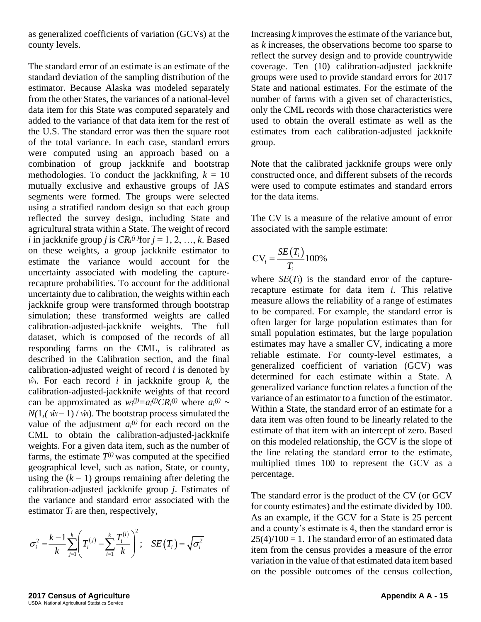as generalized coefficients of variation (GCVs) at the county levels.

The standard error of an estimate is an estimate of the standard deviation of the sampling distribution of the estimator. Because Alaska was modeled separately from the other States, the variances of a national-level data item for this State was computed separately and added to the variance of that data item for the rest of the U.S. The standard error was then the square root of the total variance. In each case, standard errors were computed using an approach based on a combination of group jackknife and bootstrap methodologies. To conduct the jackknifing,  $k = 10$ mutually exclusive and exhaustive groups of JAS segments were formed. The groups were selected using a stratified random design so that each group reflected the survey design, including State and agricultural strata within a State. The weight of record *i* in jackknife group *j* is  $CR_i^{(j)}$  for  $j = 1, 2, ..., k$ . Based on these weights, a group jackknife estimator to estimate the variance would account for the uncertainty associated with modeling the capturerecapture probabilities. To account for the additional uncertainty due to calibration, the weights within each jackknife group were transformed through bootstrap simulation; these transformed weights are called calibration-adjusted-jackknife weights. The full dataset, which is composed of the records of all responding farms on the CML, is calibrated as described in the Calibration section, and the final calibration-adjusted weight of record *i* is denoted by  $\hat{w}_i$ . For each record *i* in jackknife group *k*, the calibration-adjusted-jackknife weights of that record can be approximated as  $w_i^{(j)} = a_i^{(j)}CR_i^{(j)}$  where  $a_i^{(j)} \sim$  $N(1, (\hat{w}_i - 1) / \hat{w}_i)$ . The bootstrap process simulated the value of the adjustment  $a_i^{(j)}$  for each record on the CML to obtain the calibration-adjusted-jackknife weights. For a given data item, such as the number of farms, the estimate  $T^{(j)}$  was computed at the specified geographical level, such as nation, State, or county, using the  $(k - 1)$  groups remaining after deleting the calibration-adjusted jackknife group *j*. Estimates of the variance and standard error associated with the estimator  $T_i$  are then, respectively, these weights, a group jackkinife estimator to<br>
mate the variance would account for the orientating associated with modeling the capture-<br>
pertainty associated with modeling the capture-<br>
ertainty associated with modeling

$$
\sigma_i^2 = \frac{k-1}{k} \sum_{j=1}^k \left( T_i^{(j)} - \sum_{l=1}^k \frac{T_i^{(l)}}{k} \right)^2; \quad SE(T_i) = \sqrt{\sigma_i^2}
$$

Increasing *k* improves the estimate of the variance but, as *k* increases, the observations become too sparse to reflect the survey design and to provide countrywide coverage. Ten (10) calibration-adjusted jackknife groups were used to provide standard errors for 2017 State and national estimates. For the estimate of the number of farms with a given set of characteristics, only the CML records with those characteristics were used to obtain the overall estimate as well as the estimates from each calibration-adjusted jackknife group.

Note that the calibrated jackknife groups were only constructed once, and different subsets of the records were used to compute estimates and standard errors for the data items.

The CV is a measure of the relative amount of error associated with the sample estimate:

$$
CV_i = \frac{SE(T_i)}{T_i}100\%
$$

where  $SE(T_i)$  is the standard error of the capturerecapture estimate for data item *i*. This relative measure allows the reliability of a range of estimates to be compared. For example, the standard error is often larger for large population estimates than for small population estimates, but the large population estimates may have a smaller CV, indicating a more reliable estimate. For county-level estimates, a generalized coefficient of variation (GCV) was determined for each estimate within a State. A generalized variance function relates a function of the variance of an estimator to a function of the estimator. Within a State, the standard error of an estimate for a data item was often found to be linearly related to the estimate of that item with an intercept of zero. Based on this modeled relationship, the GCV is the slope of the line relating the standard error to the estimate, multiplied times 100 to represent the GCV as a percentage.

The standard error is the product of the CV (or GCV for county estimates) and the estimate divided by 100. As an example, if the GCV for a State is 25 percent and a county's estimate is 4, then the standard error is  $25(4)/100 = 1$ . The standard error of an estimated data item from the census provides a measure of the error variation in the value of that estimated data item based on the possible outcomes of the census collection,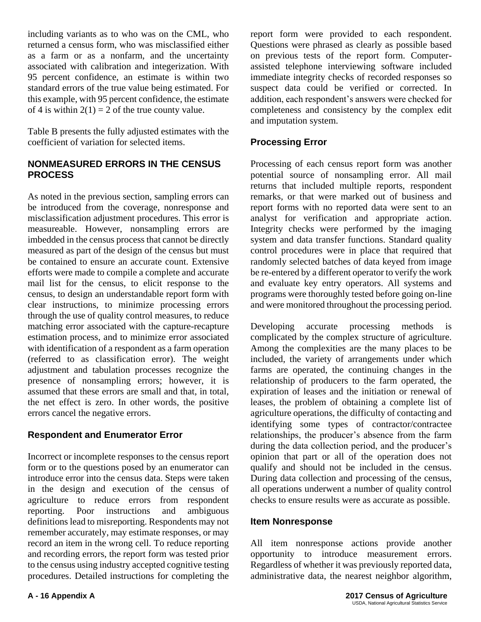including variants as to who was on the CML, who returned a census form, who was misclassified either as a farm or as a nonfarm, and the uncertainty associated with calibration and integerization. With 95 percent confidence, an estimate is within two standard errors of the true value being estimated. For this example, with 95 percent confidence, the estimate of 4 is within  $2(1) = 2$  of the true county value.

Table B presents the fully adjusted estimates with the coefficient of variation for selected items.

#### **NONMEASURED ERRORS IN THE CENSUS PROCESS**

As noted in the previous section, sampling errors can be introduced from the coverage, nonresponse and misclassification adjustment procedures. This error is measureable. However, nonsampling errors are imbedded in the census process that cannot be directly measured as part of the design of the census but must be contained to ensure an accurate count. Extensive efforts were made to compile a complete and accurate mail list for the census, to elicit response to the census, to design an understandable report form with clear instructions, to minimize processing errors through the use of quality control measures, to reduce matching error associated with the capture-recapture estimation process, and to minimize error associated with identification of a respondent as a farm operation (referred to as classification error). The weight adjustment and tabulation processes recognize the presence of nonsampling errors; however, it is assumed that these errors are small and that, in total, the net effect is zero. In other words, the positive errors cancel the negative errors.

#### **Respondent and Enumerator Error**

Incorrect or incomplete responses to the census report form or to the questions posed by an enumerator can introduce error into the census data. Steps were taken in the design and execution of the census of agriculture to reduce errors from respondent reporting. Poor instructions and ambiguous definitions lead to misreporting. Respondents may not remember accurately, may estimate responses, or may record an item in the wrong cell. To reduce reporting and recording errors, the report form was tested prior to the census using industry accepted cognitive testing procedures. Detailed instructions for completing the

report form were provided to each respondent. Questions were phrased as clearly as possible based on previous tests of the report form. Computerassisted telephone interviewing software included immediate integrity checks of recorded responses so suspect data could be verified or corrected. In addition, each respondent's answers were checked for completeness and consistency by the complex edit and imputation system.

#### **Processing Error**

Processing of each census report form was another potential source of nonsampling error. All mail returns that included multiple reports, respondent remarks, or that were marked out of business and report forms with no reported data were sent to an analyst for verification and appropriate action. Integrity checks were performed by the imaging system and data transfer functions. Standard quality control procedures were in place that required that randomly selected batches of data keyed from image be re-entered by a different operator to verify the work and evaluate key entry operators. All systems and programs were thoroughly tested before going on-line and were monitored throughout the processing period.

Developing accurate processing methods is complicated by the complex structure of agriculture. Among the complexities are the many places to be included, the variety of arrangements under which farms are operated, the continuing changes in the relationship of producers to the farm operated, the expiration of leases and the initiation or renewal of leases, the problem of obtaining a complete list of agriculture operations, the difficulty of contacting and identifying some types of contractor/contractee relationships, the producer's absence from the farm during the data collection period, and the producer's opinion that part or all of the operation does not qualify and should not be included in the census. During data collection and processing of the census, all operations underwent a number of quality control checks to ensure results were as accurate as possible.

#### **Item Nonresponse**

All item nonresponse actions provide another opportunity to introduce measurement errors. Regardless of whether it was previously reported data, administrative data, the nearest neighbor algorithm,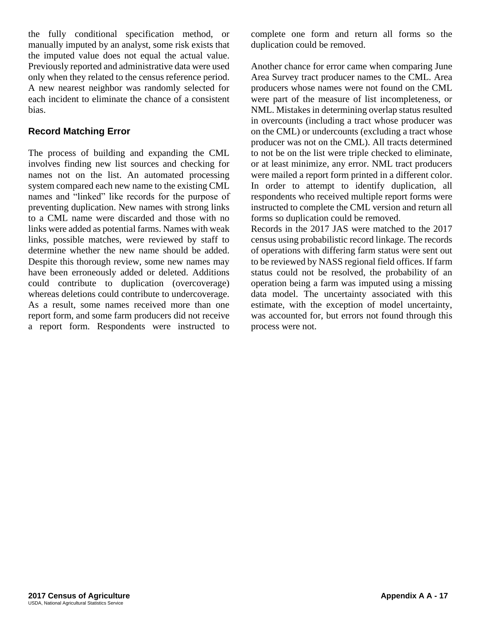the fully conditional specification method, or manually imputed by an analyst, some risk exists that the imputed value does not equal the actual value. Previously reported and administrative data were used only when they related to the census reference period. A new nearest neighbor was randomly selected for each incident to eliminate the chance of a consistent bias.

#### **Record Matching Error**

The process of building and expanding the CML involves finding new list sources and checking for names not on the list. An automated processing system compared each new name to the existing CML names and "linked" like records for the purpose of preventing duplication. New names with strong links to a CML name were discarded and those with no links were added as potential farms. Names with weak links, possible matches, were reviewed by staff to determine whether the new name should be added. Despite this thorough review, some new names may have been erroneously added or deleted. Additions could contribute to duplication (overcoverage) whereas deletions could contribute to undercoverage. As a result, some names received more than one report form, and some farm producers did not receive a report form. Respondents were instructed to complete one form and return all forms so the duplication could be removed.

Another chance for error came when comparing June Area Survey tract producer names to the CML. Area producers whose names were not found on the CML were part of the measure of list incompleteness, or NML. Mistakes in determining overlap status resulted in overcounts (including a tract whose producer was on the CML) or undercounts (excluding a tract whose producer was not on the CML). All tracts determined to not be on the list were triple checked to eliminate, or at least minimize, any error. NML tract producers were mailed a report form printed in a different color. In order to attempt to identify duplication, all respondents who received multiple report forms were instructed to complete the CML version and return all forms so duplication could be removed.

Records in the 2017 JAS were matched to the 2017 census using probabilistic record linkage. The records of operations with differing farm status were sent out to be reviewed by NASS regional field offices. If farm status could not be resolved, the probability of an operation being a farm was imputed using a missing data model. The uncertainty associated with this estimate, with the exception of model uncertainty, was accounted for, but errors not found through this process were not.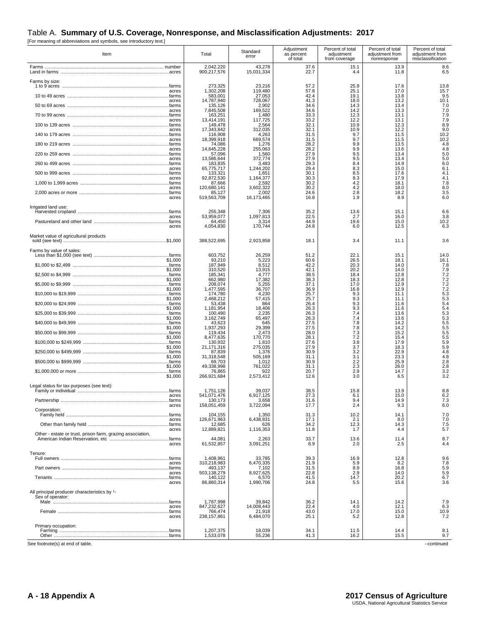#### Table A. **Summary of U.S. Coverage, Nonresponse, and Misclassification Adjustments: 2017**

[For meaning of abbreviations and symbols, see introductory text.]

| Item                                                                         | Total                    | Standard<br>error    | Adjustment<br>as percent<br>of total | Percent of total<br>adjustment<br>from coverage | Percent of total<br>adjustment from<br>nonresponse | Percent of total<br>adjustment from<br>misclassification |
|------------------------------------------------------------------------------|--------------------------|----------------------|--------------------------------------|-------------------------------------------------|----------------------------------------------------|----------------------------------------------------------|
|                                                                              | 2,042,220                | 43,278               | 37.6                                 | 15.1                                            | 13.9                                               | 8.6                                                      |
|                                                                              | 900,217,576              | 15,031,334           | 22.7                                 | 4.4                                             | 11.8                                               | 6.5                                                      |
| Farms by size:                                                               | 273,325                  | 23,216               | 57.2                                 | 25.9                                            | 17.6                                               | 13.8                                                     |
| acres                                                                        | 1,302,208                | 119,480              | 57.8                                 | 25.1                                            | 17.0                                               | 15.7                                                     |
|                                                                              | 583.001                  | 27,053               | 42.4                                 | 19.1                                            | 13.8                                               | 9.5                                                      |
| acres                                                                        | 14.787.940               | 728,067              | 41.3                                 | 18.0                                            | 13.2                                               | 10.1                                                     |
|                                                                              | 135,126                  | 2,902                | 34.6                                 | 14.3                                            | 13.4                                               | 7.0                                                      |
| acres                                                                        | 7,845,508                | 169,522              | 34.6                                 | 14.2                                            | 13.3                                               | 7.0                                                      |
|                                                                              | 163,251                  | 1,480                | 33.3                                 | 12.3                                            | 13.1                                               | 7.9                                                      |
| acres                                                                        | 13,414,191               | 117,725              | 33.2                                 | 12.2                                            | 13.1                                               | 7.9                                                      |
|                                                                              | 149,478                  | 2,564                | 32.1                                 | 10.9                                            | 12.3                                               | 8.9                                                      |
| acres                                                                        | 17.343.842               | 312,035              | 32.1                                 | 10.9                                            | 12.2                                               | 9.0                                                      |
|                                                                              | 116,908                  | 4,263                | 31.5                                 | 9.7                                             | 11.5                                               | 10.2                                                     |
| acres                                                                        | 18,399,918               | 669,574              | 31.5                                 | 9.7                                             | 11.5                                               | 10.2                                                     |
|                                                                              | 74,086                   | 1,276                | 28.2                                 | 9.9                                             | 13.5                                               | 4.8                                                      |
| acres                                                                        | 14,645,228               | 255.063              | 28.2                                 | 9.9                                             | 13.6                                               | 4.8                                                      |
|                                                                              | 57,096                   | 1,560                | 27.9                                 | 9.5                                             | 13.4                                               | 5.0                                                      |
| acres                                                                        | 13,586,644               | 372,774              | 27.9                                 | 9.5                                             | 13.4                                               | 5.0                                                      |
|                                                                              | 183,835                  | 3,483                | 29.3                                 | 8.4                                             | 14.9                                               | 6.0                                                      |
| acres                                                                        | 65,775,717               | 1,244,202            | 29.4                                 | 8.3                                             | 15.0                                               | 6.1                                                      |
|                                                                              | 133,321                  | 1,651                | 30.1                                 | 8.5                                             | 17.6                                               | 4.1                                                      |
| acres                                                                        | 92,872,530               | 1,164,377            | 30.3                                 | 8.3                                             | 17.9                                               | 4.1                                                      |
|                                                                              | 87,666                   | 2,592                | 30.2                                 | 4.2                                             | 18.1                                               | 7.8                                                      |
| acres                                                                        | 120,680,141              | 3,602,322            | 30.2                                 | 4.2                                             | 18.0                                               | 8.0                                                      |
|                                                                              | 85,127                   | 2,002                | 24.6                                 | 2.8                                             | 18.2                                               | 3.5                                                      |
| acres                                                                        | 519,563,709              | 16,173,465           | 16.8                                 | 1.9                                             | 8.9                                                | 6.0                                                      |
| Irrigated land use:                                                          | 255,348                  | 7,306                | 35.2                                 | 13.6                                            | 15.1                                               | 6.6                                                      |
| acres                                                                        | 53.959.077               | 1,097,813            | 22.5                                 | 2.7                                             | 16.0                                               | 3.8                                                      |
|                                                                              | 64,450                   | 3,314                | 44.9                                 | 19.6                                            | 15.0                                               | 10.2                                                     |
| acres                                                                        | 4,054,830                | 170,744              | 24.8                                 | 6.0                                             | 12.5                                               | 6.3                                                      |
| Market value of agricultural products                                        | 388,522,695              | 2,923,858            | 18.1                                 | 3.4                                             | 11.1                                               | 3.6                                                      |
| Farms by value of sales:                                                     | 603,752                  | 26,259               | 51.2                                 | 22.1                                            | 15.1                                               | 14.0                                                     |
| \$1,000                                                                      | 93,210                   | 5,223                | 60.6                                 | 26.5                                            | 18.1                                               | 16.1                                                     |
|                                                                              | 187,949                  | 8,512                | 42.2                                 | 20.3                                            | 14.0                                               | 7.8                                                      |
| \$1,000                                                                      | 310,520                  | 13,915               | 42.1                                 | 20.2                                            | 14.0                                               | $7.9$<br>$7.2$                                           |
|                                                                              | 185,341                  | 4,777                | 38.5                                 | 18.4                                            | 12.8                                               |                                                          |
| \$1.000                                                                      | 662,980                  | 17,382               | 38.3                                 | 18.3                                            | 12.8                                               | $7.2$<br>$7.2$                                           |
|                                                                              | 208,074                  | 5,255                | 37.1                                 | 17.0                                            | 12.9                                               |                                                          |
| \$1,000                                                                      | 1.477.595                | 36,707               | 36.9                                 | 16.8                                            | 12.9                                               | $7.2$<br>5.3<br>5.3                                      |
|                                                                              | 174,780                  | 4.230                | 25.7                                 | 9.3                                             | 11.1                                               |                                                          |
| \$1,000                                                                      | 2,468,212                | 57,415               | 25.7                                 | 9.3                                             | 11.1                                               | 5.4                                                      |
|                                                                              | 53,438                   | 864                  | 26.4                                 | 9.3                                             | 11.6                                               |                                                          |
| \$1,000                                                                      | 1.181.954                | 18,406               | 26.3                                 | 9.3                                             | 11.6                                               | 5.4                                                      |
|                                                                              | 100,490                  | 2,235                | 26.3                                 | 7.4                                             | 13.6                                               | 5.3                                                      |
| \$1,000                                                                      | 3,162,749                | 65,497               | 26.3                                 | 7.4                                             | 13.6                                               | 5.3                                                      |
|                                                                              | 43,623                   | 645                  | 27.5                                 | 7.8                                             | 14.2                                               | 5.5                                                      |
| \$1,000                                                                      | 1,937,293                | 29.399               | 27.5                                 | 7.8                                             | 14.2                                               | $5.5$<br>$5.5$<br>$5.5$                                  |
|                                                                              | 119,434                  | 2,473                | 28.0                                 | 7.3                                             | 15.2                                               |                                                          |
| \$1,000                                                                      | 8.477.635                | 170.770              | 28.1                                 | 7.2                                             | 15.4                                               | 5.9                                                      |
|                                                                              | 130,932                  | 1,810                | 27.6                                 | 3.8                                             | 17.9                                               |                                                          |
| \$1,000                                                                      | 21,171,316               | 275,035              | 27.9                                 | 3.7                                             | 18.3                                               | 5.9                                                      |
|                                                                              | 87,839                   | 1,376                | 30.9                                 | 3.2                                             | 22.9                                               | 4.8                                                      |
| \$1,000                                                                      | 31,318,548               | 505,169              | 31.1                                 | 3.1                                             | 23.3                                               | 4.8                                                      |
|                                                                              | 69,703                   | 1,012                | 30.9                                 | 2.2                                             | 25.9                                               | 2.8                                                      |
| \$1,000                                                                      | 49,338,998               | 761,022              | 31.1                                 | 2.3                                             | 26.0                                               | 2.8                                                      |
|                                                                              | 76,865                   | 922                  | 20.7                                 | 2.9                                             | 14.7                                               |                                                          |
| \$1,000                                                                      | 266,921,684              | 2,573,412            | 12.6                                 | 3.0                                             | 6.5                                                | $3.2$<br>$3.2$                                           |
| Legal status for tax purposes (see text):                                    | 1.751.126                | 39,037               | 38.5                                 | 15.8                                            | 13.9                                               | 8.8                                                      |
| acres                                                                        | 541,071,476              | 6,917,125            | 27.3                                 | 6.1                                             | 15.0                                               | 6.2                                                      |
|                                                                              | 130,173                  | 3,658                | 31.6                                 | 9.4                                             | 14.9                                               | 7.3                                                      |
| acres<br>Corporation:                                                        | 158,051,459              | 3,722,094            | 17.7                                 | 2.4                                             | 9.3                                                | 6.0                                                      |
|                                                                              | 104,155                  | 1,350                | 31.3                                 | 10.2                                            | 14.1                                               | 7.0                                                      |
| acres                                                                        | 126.671.963              | 6,438,831            | 17.1                                 | 2.1                                             | 8.0                                                |                                                          |
|                                                                              | 12,685                   | 626                  | 34.2                                 | 12.3                                            | 14.3                                               | $7.0$<br>$7.5$<br>$5.7$                                  |
| acres                                                                        | 12,889,821               | 1,116,353            | 11.8                                 | 1.7                                             | 4.4                                                |                                                          |
| Other - estate or trust, prison farm, grazing association,                   | 44,081                   | 2,263                | 33.7                                 | 13.6                                            | 11.4                                               | 8.7                                                      |
| acres                                                                        | 61,532,857               | 3,091,251            | 8.9                                  | 2.0                                             | 2.5                                                | 4.4                                                      |
| Tenure:                                                                      | 1,408,961                | 33,785               | 39.3                                 | 16.9                                            | 12.8                                               | 9.6                                                      |
| acres                                                                        | 310,218,983              | 6,470,335            | 21.9                                 | 5.9                                             | 8.2                                                | 7.8                                                      |
|                                                                              | 493.137                  | 7,102                | 31.5                                 | 8.9                                             | 16.8                                               |                                                          |
| acres                                                                        | 503,138,279              | 8,927,625            | 22.8                                 | 2.9                                             | 14.0                                               | $\frac{5.9}{5.9}$<br>6.7                                 |
|                                                                              | 140,122                  | 6,570                | 41.5                                 | 14.7                                            | 20.2                                               |                                                          |
| acres                                                                        | 86,860,314               | 1,990,706            | 24.8                                 | 5.5                                             | 15.6                                               | 3.6                                                      |
| All principal producer characteristics by <sup>1</sup> -<br>Sex of operator: |                          |                      |                                      |                                                 |                                                    |                                                          |
| farms<br>acres                                                               | 1,787,998<br>847,232,627 | 39,842<br>14,008,443 | 36.2<br>22.4                         | 14.1<br>4.0                                     | 14.2<br>12.1                                       | 7.9<br>6.3                                               |
| .farms<br>acres                                                              | 766,474<br>238,157,861   | 21,918<br>6,484,070  | 43.0<br>25.1                         | 17.0<br>5.2                                     | 15.0<br>12.8                                       | 10.9<br>7.2                                              |
| Primary occupation:                                                          |                          |                      |                                      |                                                 |                                                    |                                                          |
|                                                                              | 1,207,375                | 18,039               | 34.1                                 | 11.5                                            | 14.4                                               | 8.1                                                      |
|                                                                              | 1,533,078                | 55,236               | 41.3                                 | 16.2                                            | 15.5                                               | 9.7                                                      |
| See footnote(s) at end of table.                                             |                          |                      |                                      |                                                 |                                                    | --continued                                              |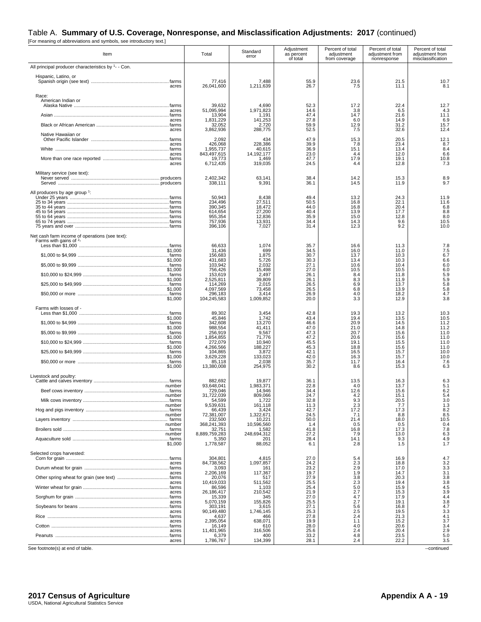#### Table A. **Summary of U.S. Coverage, Nonresponse, and Misclassification Adjustments: 2017** (continued)

[For meaning of abbreviations and symbols, see introductory text.]

| Item                                                | Total                           | Standard<br>error             | Adjustment<br>as percent<br>of total | Percent of total<br>adjustment<br>from coverage | Percent of total<br>adjustment from<br>nonresponse | Percent of total<br>adjustment from<br>misclassification |
|-----------------------------------------------------|---------------------------------|-------------------------------|--------------------------------------|-------------------------------------------------|----------------------------------------------------|----------------------------------------------------------|
| All principal producer characteristics by 1- - Con. |                                 |                               |                                      |                                                 |                                                    |                                                          |
| Hispanic, Latino, or<br>acres                       | 77.416<br>26.041.600            | 7.488<br>1,211,639            | 55.9<br>26.7                         | 23.6<br>7.5                                     | 21.5<br>11.1                                       | 10.7<br>8.1                                              |
| Race:<br>American Indian or                         | 39,632                          | 4,690                         | 52.3                                 | 17.2                                            | 22.4                                               | 12.7                                                     |
| acres                                               | 51,095,994                      | 1,971,823                     | 14.6                                 | 3.8                                             | 6.5                                                | 4.3                                                      |
|                                                     | 13,904                          | 1,191                         | 47.4                                 | 14.7                                            | 21.6                                               | 11.1                                                     |
| acres                                               | 1,831,229                       | 141,253                       | 27.8                                 | 6.0                                             | 14.9                                               | 6.9                                                      |
|                                                     | 32,052                          | 2,720                         | 59.9                                 | 12.9                                            | 31.2                                               | 15.7                                                     |
| acres<br>Native Hawaiian or                         | 3,862,936                       | 288,775                       | 52.5                                 | 7.5                                             | 32.6                                               | 12.4                                                     |
|                                                     | 2,092                           | 434                           | 47.9                                 | 15.3                                            | 20.5                                               | 12.1                                                     |
| acres                                               | 426,068                         | 228,386                       | 39.9                                 | 7.8                                             | 23.4                                               | 8.7                                                      |
|                                                     | 1,955,737                       | 40,615                        | 36.9                                 | 15.1                                            | 13.4                                               | 8.4                                                      |
| acres                                               | 843,497,615                     | 14, 192, 177                  | 23.0                                 | 4.4                                             | 12.0                                               | 6.6                                                      |
|                                                     | 19,773                          | 1,469                         | 47.7                                 | 17.9                                            | 19.1                                               | 10.8                                                     |
| acres                                               | 6,712,435                       | 319,035                       | 24.5                                 | 4.4                                             | 12.8                                               | 7.3                                                      |
| Military service (see text):                        | 2,402,342<br>338,111            | 63,141<br>9,391               | 38.4<br>36.1                         | 14.2<br>14.5                                    | 15.3<br>11.9                                       | 8.9<br>9.7                                               |
| All producers by age group 1:                       |                                 |                               |                                      |                                                 |                                                    |                                                          |
|                                                     | 50,943                          | 8,438                         | 49.4                                 | 13.2                                            | 24.3                                               | 11.9                                                     |
|                                                     | 234,496                         | 27,511                        | 50.5                                 | 16.8                                            | 22.1                                               | 11.6                                                     |
|                                                     | 390,345                         | 18,472                        | 44.0                                 | 16.8                                            | 20.4                                               | 6.8                                                      |
|                                                     | 614,654                         | 27,200                        | 40.4                                 | 13.9                                            | 17.7                                               | 8.8                                                      |
|                                                     | 955,354                         | 12,836                        | 35.9                                 | 15.0                                            | 12.8                                               | 8.0                                                      |
|                                                     | 757,936                         | 13,931                        | 34.4                                 | 14.3                                            | 9.6                                                | 10.5                                                     |
| Net cash farm income of operations (see text):      | 396,106                         | 7,027                         | 31.4                                 | 12.3                                            | 9.2                                                | 10.0                                                     |
| Farms with gains of <sup>2</sup> -<br>\$1,000       | 66,633<br>31,436                | 1,074<br>699                  | 35.7<br>34.5                         | 16.6<br>16.0                                    | 11.3<br>11.0                                       | 7.8<br>7.5                                               |
|                                                     | 156,683                         | 1,875                         | 30.7                                 | 13.7                                            | 10.3                                               | 6.7                                                      |
| \$1,000                                             | 431,683                         | 5,726                         | 30.3                                 | 13.4                                            | 10.3                                               | 6.6                                                      |
|                                                     | 103,942                         | 2,032                         | 27.1                                 | 10.6                                            | 10.4                                               | 6.0                                                      |
| \$1,000                                             | 756,426                         | 15.498                        | 27.0                                 | 10.5                                            | 10.5                                               | 6.0                                                      |
|                                                     | 153,619                         | 2,497                         | 26.1                                 | 8.4                                             | 11.8                                               | 5.9                                                      |
| \$1,000                                             | 2,525,811                       | 39,809                        | 26.1                                 | 8.3                                             | 11.9                                               | 5.9                                                      |
|                                                     | 114,269                         | 2,015                         | 26.5                                 | 6.9                                             | 13.7                                               | 5.8                                                      |
| \$1,000                                             | 4,097,569                       | 73,458                        | 26.5                                 | 6.8                                             | 13.9                                               | 5.8                                                      |
|                                                     | 296,183                         | 3,414                         | 26.9                                 | 4.0                                             | 18.2                                               | 4.7                                                      |
| \$1,000                                             | 104,245,583                     | 1,009,852                     | 20.0                                 | 3.3                                             | 12.9                                               | 3.8                                                      |
| Farms with losses of -                              | 89,302                          | 3,454                         | 42.8                                 | 19.3                                            | 13.2                                               | 10.3                                                     |
| \$1,000                                             | 45,846                          | 1.742                         | 43.4                                 | 19.4                                            | 13.5                                               | 10.5                                                     |
|                                                     | 342,608                         | 13,270                        | 46.6                                 | 20.9                                            | 14.5                                               | 11.2                                                     |
| \$1,000                                             | 988,554                         | 41,411                        | 47.0                                 | 21.0                                            | 14.8                                               | 11.2                                                     |
|                                                     | 256,919                         | 9,567                         | 47.3                                 | 20.7                                            | 15.6                                               | 11.0                                                     |
| \$1,000                                             | 1,854,855                       | 71,776                        | 47.2                                 | 20.6                                            | 15.6                                               | 11.0                                                     |
|                                                     | 272,079                         | 10,940                        | 45.5                                 | 19.1                                            | 15.5                                               | 11.0                                                     |
| \$1,000                                             | 4,266,566                       | 188,227                       | 45.3                                 | 18.8                                            | 15.6                                               | 11.0                                                     |
|                                                     | 104,865                         | 3,872                         | 42.1                                 | 16.5                                            | 15.7                                               | 10.0                                                     |
| \$1,000                                             | 3,629,228                       | 133,023                       | 42.0                                 | 16.3                                            | 15.7                                               | 10.0                                                     |
|                                                     | 85,118                          | 2,038                         | 35.7                                 | 11.7                                            | 16.4                                               | 7.6                                                      |
| \$1,000                                             | 13,380,008                      | 254,975                       | 30.2                                 | 8.6                                             | 15.3                                               | 6.3                                                      |
| Livestock and poultry:                              | 882,692                         | 19,877                        | 36.1                                 | 13.5                                            | 16.3                                               | 6.3                                                      |
| number                                              | 93,648,041                      | 1,983,371                     | 22.8                                 | 4.0                                             | 13.7                                               | 5.1                                                      |
|                                                     | 729,046                         | 14,946                        | 34.4                                 | 12.6                                            | 15.6                                               | 6.2                                                      |
| mumber<br>number                                    | ,722,039<br>54,599<br>9,539,631 | 809,066<br>1,722              | 24.7<br>32.8<br>11.3                 | 4.2<br>9.3<br>2.3                               | 15.1<br>20.5<br>7.7                                | 5.4                                                      |
| number                                              | 66,439<br>72,381,007            | 161,118<br>3,424<br>1,322,671 | 42.7<br>24.5                         | 17.2<br>7.1                                     | 17.3<br>8.8                                        | $3.0$<br>$1.3$<br>$8.2$<br>8.5                           |
|                                                     | 232,500                         | 10,221                        | 50.0                                 | 21.4                                            | 18.0                                               | 10.5                                                     |
| number                                              | 368,241,393                     | 10,596,560                    | 1.4                                  | 0.5                                             | 0.5                                                | 0.4                                                      |
|                                                     | 32,751                          | 1,582                         | 41.8                                 | 16.8                                            | 17.3                                               | 7.8                                                      |
| number                                              | 8,889,759,283                   | 248,694,312                   | 27.2                                 | 7.9                                             | 13.0                                               | 6.3                                                      |
|                                                     | 5,350                           | 201                           | 28.4                                 | 14.1                                            | 9.3                                                | 4.9                                                      |
| \$1,000                                             | 1.778.587                       | 88,052                        | 6.1                                  | 2.8                                             | 1.5                                                | 1.7                                                      |
| Selected crops harvested:                           |                                 |                               |                                      |                                                 |                                                    |                                                          |
|                                                     | 304,801                         | 4.815                         | 27.0                                 | 5.4                                             | 16.9                                               | 4.7                                                      |
| acres                                               | 84,738,562                      | 1,097,857                     | 24.2                                 | 2.3                                             | 18.8                                               | 3.2                                                      |
|                                                     | 3,093                           | 161                           | 23.2                                 | 2.9                                             | 17.0                                               | 3.3                                                      |
| acres                                               | 2,206,169                       | 117,367                       | 19.7                                 | 1.9                                             | 14.7                                               | 3.1                                                      |
|                                                     | 20,076                          | 517                           | 27.9                                 | 3.8                                             | 20.3                                               | 3.8                                                      |
| acres                                               | 10,419,033                      | 511,562                       | 25.5                                 | 2.3                                             | 19.4                                               | 3.8                                                      |
|                                                     | 86,596                          | 1,103                         | 25.4                                 | 5.0                                             | 15.9                                               | 4.5                                                      |
| acres                                               | 26,186,417                      | 210.542                       | 21.9                                 | 2.7                                             | 15.3                                               | $\frac{3.9}{4.4}$                                        |
|                                                     | 15,339                          | 345                           | 27.0                                 | 4.7                                             | 17.9                                               |                                                          |
| acres                                               | 5,070,159                       | 155,826                       | 25.5                                 | 2.7                                             | 19.1                                               |                                                          |
|                                                     | 303,191                         | 3,615                         | 27.1                                 | 5.6                                             | 16.8                                               | $3.8$<br>$4.7$<br>$3.3$                                  |
| acres                                               | 90,149,480                      | 1,746,145                     | 25.3                                 | 2.5                                             | 19.5                                               |                                                          |
|                                                     | 4,637                           | 466                           | 27.8                                 | 2.4                                             | 21.3                                               | 4.1                                                      |
| acres                                               | 2,395,054                       | 638,071                       | 19.9                                 | 1.1                                             | 15.2                                               | 3.7                                                      |
|                                                     | 16,149                          | 610                           | 28.0                                 | 4.0                                             | 20.6                                               | 3.4                                                      |
| acres                                               | 11,401,965                      | 316,506                       | 25.6                                 | 2.4                                             | 20.4                                               | 2.9                                                      |
|                                                     | 6,379                           | 400                           | 33.2                                 | 4.8                                             | 23.5                                               | 5.0                                                      |
| acres                                               | 1,786,767                       | 134,399                       | 28.1                                 | 2.4                                             | 22.2                                               | 3.5                                                      |

See footnote(s) at end of table. --continued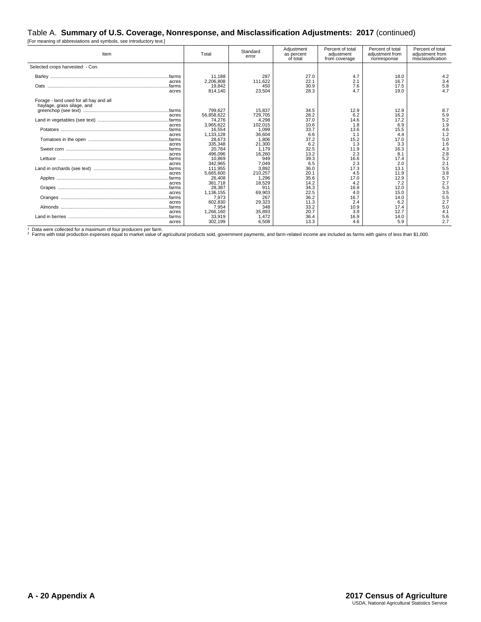#### Table A. **Summary of U.S. Coverage, Nonresponse, and Misclassification Adjustments: 2017** (continued)

[For meaning of abbreviations and symbols, see introductory text.]

| Item                                                                 | Total                          | Standard<br>error         | Adjustment<br>as percent<br>of total | Percent of total<br>adjustment<br>from coverage | Percent of total<br>adjustment from<br>nonresponse | Percent of total<br>adjustment from<br>misclassification |
|----------------------------------------------------------------------|--------------------------------|---------------------------|--------------------------------------|-------------------------------------------------|----------------------------------------------------|----------------------------------------------------------|
| Selected crops harvested: - Con.                                     |                                |                           |                                      |                                                 |                                                    |                                                          |
|                                                                      | 11.188                         | 287                       | 27.0                                 | 4.7                                             | 18.0                                               | 4.2                                                      |
| acres<br>farms<br>acres                                              | 2,206,808<br>19,842<br>814.140 | 111,622<br>450<br>23,504  | 22.1<br>30.9<br>28.3                 | 2.1<br>7.6<br>4.7                               | 16.7<br>17.5<br>19.0                               | 3.4<br>5.8<br>4.7                                        |
| Forage - land used for all hay and all<br>haylage, grass silage, and |                                |                           |                                      |                                                 |                                                    |                                                          |
| acres                                                                | 799,627<br>56,858,622          | 15.837<br>729,705         | 34.5<br>28.2                         | 12.9<br>6.2                                     | 12.9<br>16.2                                       | 8.7                                                      |
| farms<br>acres                                                       | 74,276<br>3,965,622            | 4,298<br>102,015          | 37.0<br>10.6                         | 14.6<br>1.8                                     | 17.2<br>6.9                                        | $\frac{5.9}{5.2}$<br>1.9                                 |
| farms                                                                | 16,554                         | 1.099                     | 33.7                                 | 13.6                                            | 15.5                                               | 4.6                                                      |
| acres<br>farms<br>acres                                              | 1,133,128<br>28,673<br>335,348 | 36,604<br>1,806<br>21,300 | 6.6<br>37.2<br>6.2                   | 1.1<br>15.2<br>1.3                              | 4.4<br>17.0<br>3.3                                 | 1.2<br>5.0<br>1.6                                        |
| acres                                                                | 20.784<br>496,096              | 1.179<br>16,260           | 32.5<br>13.2                         | 11.9<br>2.3                                     | 16.3<br>8.1                                        | 4.3<br>2.8                                               |
| farms<br>acres                                                       | 10.869<br>342,965              | 949<br>7,049              | 39.3<br>6.5                          | 16.6<br>2.3                                     | 17.4<br>2.0                                        | 5.2<br>2.1                                               |
| acres                                                                | 111.955<br>5,665,600           | 3,892<br>210.257          | 36.0<br>20.1                         | 17.3<br>4.5                                     | 13.1<br>11.9                                       | 5.5<br>3.8                                               |
|                                                                      | 26,408                         | 1,296                     | 35.6                                 | 17.0                                            | 12.9                                               | 5.7                                                      |
| acres<br>…farms                                                      | 381.718<br>28,387              | 18,529<br>911             | 14.2<br>34.3                         | 4.2<br>16.9                                     | 7.2<br>12.0                                        | 2.7<br>5.3                                               |
| acres<br>…farms                                                      | 1,136,155<br>7,973<br>602,830  | 69,903<br>267             | 22.5<br>36.2<br>11.3                 | 4.0<br>16.7                                     | 15.0<br>14.0<br>6.2                                | 3.5<br>5.5<br>2.7                                        |
| acres<br>farms                                                       | 7,954                          | 29,323<br>348             | 33.2                                 | 2.4<br>10.9                                     | 17.4                                               | 5.0                                                      |
| acres<br>farms<br>acres                                              | 1,266,160<br>33,919<br>302,199 | 35,893<br>1,472<br>6,508  | 20.7<br>36.4<br>13.3                 | 3.9<br>16.9<br>4.6                              | 12.7<br>14.0<br>5.9                                | 4.1<br>5.6<br>2.7                                        |

1 Data were collected for a maximum of four producers per farm.<br><sup>2</sup> Farms with total production expenses equal to market value of agricultural products sold, government payments, and farm-related income are included as far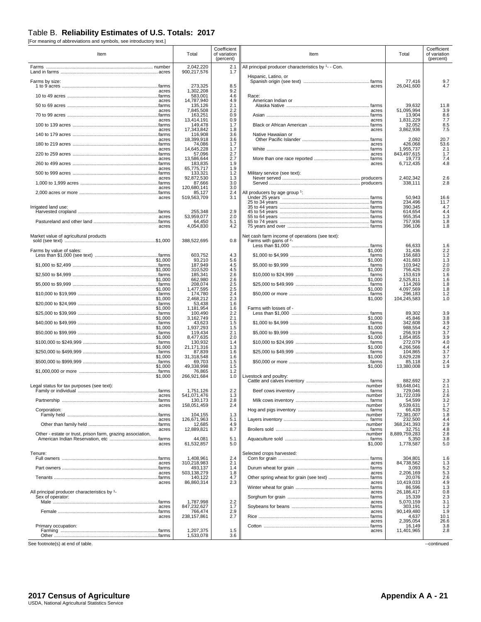#### Table B. **Reliability Estimates of U.S. Totals: 2017**

[For meaning of abbreviations and symbols, see introductory text.]

| Item                                                       |         | Total                    | Coefficient<br>of variation<br>(percent) | Item                                                                       | Total                  | Coefficient<br>of variation<br>(percent) |
|------------------------------------------------------------|---------|--------------------------|------------------------------------------|----------------------------------------------------------------------------|------------------------|------------------------------------------|
|                                                            |         | 2,042,220                | 2.1                                      | All principal producer characteristics by 1- - Con.                        |                        |                                          |
|                                                            |         | 900,217,576              | 1.7                                      | Hispanic, Latino, or                                                       |                        |                                          |
| Farms by size:                                             |         | 273,325                  | 8.5                                      | acres                                                                      | 77,416<br>26,041,600   | $\frac{9.7}{4.7}$                        |
|                                                            | acres   | 1.302.208                | 9.2                                      |                                                                            |                        |                                          |
|                                                            | acres   | 583,001<br>14,787,940    | 4.6<br>4.9                               | Race:<br>American Indian or                                                |                        |                                          |
|                                                            | acres   | 135,126<br>7,845,508     | 2.1<br>2.2                               | acres                                                                      | 39,632<br>51,095,994   | 11.8<br>3.9                              |
|                                                            |         | 163,251                  | 0.9                                      |                                                                            | 13,904                 | 8.6                                      |
|                                                            | acres   | 13,414,191<br>149,478    | 0.9<br>1.7                               | acres                                                                      | 1,831,229<br>32,052    | 7.7<br>8.5                               |
|                                                            | acres   | 17.343.842<br>116,908    | 1.8<br>3.6                               | acres<br>Native Hawaiian or                                                | 3,862,936              | 7.5                                      |
|                                                            | acres   | 18,399,918               | 3.6                                      |                                                                            | 2,092                  | 20.7                                     |
|                                                            | acres   | 74,086<br>14,645,228     | 1.7<br>1.7                               | acres                                                                      | 426,068<br>1,955,737   | 53.6<br>2.1                              |
|                                                            |         | 57,096                   | 2.7<br>2.7                               | acres                                                                      | 843,497,615            | 1.7<br>7.4                               |
|                                                            | acres   | 13,586,644<br>183,835    | 1.9                                      | acres                                                                      | 19,773<br>6,712,435    | 4.8                                      |
|                                                            | acres   | 65,775,717<br>133,321    | 1.9<br>1.2                               | Military service (see text):                                               |                        |                                          |
|                                                            | acres   | 92,872,530               | 1.3<br>3.0                               |                                                                            | 2,402,342              | 2.6<br>2.8                               |
|                                                            | acres   | 87,666<br>120,680,141    | 3.0                                      |                                                                            | 338,111                |                                          |
|                                                            | acres   | 85,127<br>519,563,709    | 2.4<br>3.1                               | All producers by age group 1:                                              | 50,943                 | 16.6                                     |
|                                                            |         |                          |                                          |                                                                            | 234,496<br>390,345     | 11.7<br>4.7                              |
| Irrigated land use:                                        |         | 255,348                  | 2.9                                      |                                                                            | 614,654                | 4.4                                      |
|                                                            | acres   | 53,959,077<br>64,450     | 2.0<br>5.1                               |                                                                            | 955,354<br>757,936     | 1.3<br>1.8                               |
|                                                            | acres   | 4,054,830                | 4.2                                      |                                                                            | 396,106                | 1.8                                      |
| Market value of agricultural products                      |         | 388,522,695              | 0.8                                      | Net cash farm income of operations (see text):<br>Farms with gains of $2-$ | 66.633                 |                                          |
| Farms by value of sales:                                   |         |                          |                                          | \$1,000                                                                    | 31,436                 | $1.6$<br>$2.2$                           |
|                                                            | \$1,000 | 603,752<br>93,210        | 4.3<br>5.6                               | \$1,000                                                                    | 156,683<br>431,683     | 1.2<br>1.3                               |
|                                                            | \$1,000 | 187,949<br>310,520       | 4.5<br>4.5                               | \$1,000                                                                    | 103,942<br>756,426     | 2.0<br>2.0                               |
|                                                            |         | 185,341                  | 2.6                                      |                                                                            | 153,619                | 1.6                                      |
|                                                            | \$1,000 | 662,980<br>208,074       | 2.6<br>2.5                               | \$1,000                                                                    | 2,525,811<br>114,269   | 1.6<br>1.8                               |
|                                                            | \$1,000 | 1.477.595<br>174,780     | 2.5<br>2.4                               | \$1,000                                                                    | 4,097,569<br>296,183   | 1.8<br>1.2                               |
|                                                            | \$1,000 | 2,468,212                | 2.3                                      | \$1,000                                                                    | 104,245,583            | 1.0                                      |
|                                                            | \$1,000 | 53,438<br>1,181,954      | 1.6<br>1.6                               | Farms with losses of -                                                     |                        |                                          |
|                                                            | \$1,000 | 100,490<br>3,162,749     | 2.2<br>2.1                               | \$1,000                                                                    | 89,302<br>45,846       | 3.9<br>3.8                               |
|                                                            |         | 43,623                   | 1.5                                      |                                                                            | 342,608                | 3.9                                      |
|                                                            | \$1,000 | 1,937,293<br>119,434     | 1.5<br>2.1                               | \$1,000                                                                    | 988,554<br>256,919     | 4.2<br>3.7                               |
|                                                            |         | 8,477,635<br>130,932     | 2.0<br>1.4                               |                                                                            | 1,854,855<br>272,079   | $\frac{3.9}{4.0}$                        |
|                                                            |         | 21,171,316               | 1.3                                      |                                                                            | 4,266,566              | 4.4                                      |
|                                                            | \$1,000 | 87,839<br>31,318,548     | 1.6<br>1.6                               | \$1,000                                                                    | 104,865<br>3,629,228   | 3.7<br>3.7                               |
|                                                            | \$1,000 | 69,703<br>49,338,998     | 1.5<br>1.5                               | \$1,000                                                                    | 85,118<br>13,380,008   | 2.4<br>1.9                               |
|                                                            |         | 76,865                   | 1.2                                      |                                                                            |                        |                                          |
|                                                            | \$1,000 | 266,921,684              | 1.0                                      | Livestock and poultry:                                                     | 882,692                | 2.3                                      |
| Legal status for tax purposes (see text):                  |         | 1,751,126                | 2.2                                      | number                                                                     | 93,648,041<br>729,046  | 2.1<br>2.1                               |
| acres                                                      |         | 541,071,476              | 1.3                                      | number                                                                     | 31,722,039             | 2.6                                      |
|                                                            | acres   | 130,173<br>158,051,459   | 2.8<br>2.4                               | number                                                                     | 54,599<br>9,539,631    | $3.2$<br>1.7                             |
| Corporation:                                               |         | 104,155                  | 1.3                                      | number                                                                     | 66,439<br>72,381,007   | 5.2<br>1.8                               |
|                                                            | acres   | 126,671,963              | 5.1                                      |                                                                            | 232,500                | 4.4                                      |
|                                                            | acres   | 12,685<br>12,889,821     | 4.9<br>8.7                               | number                                                                     | 368,241,393<br>32,751  | 2.9<br>4.8                               |
| Other - estate or trust, prison farm, grazing association, |         | 44,081                   | 5.1                                      | number                                                                     | 8,889,759,283<br>5,350 | 2.8<br>3.8                               |
|                                                            | acres   | 61,532,857               | 5.0                                      | \$1,000                                                                    | 1,778,587              | 5.0                                      |
| Tenure:                                                    |         |                          |                                          | Selected crops harvested:                                                  |                        |                                          |
|                                                            | acres   | 1,408,961<br>310,218,983 | 2.4<br>2.1                               | acres                                                                      | 304,801<br>84,738,562  | 1.6<br>1.3                               |
|                                                            |         | 493,137                  | 1.4                                      |                                                                            | 3,093                  | $\frac{5.2}{5.3}$                        |
|                                                            | acres   | 503,138,279<br>140,122   | 1.8<br>4.7                               | acres                                                                      | 2,206,169<br>20,076    | 2.6                                      |
|                                                            | acres   | 86,860,314               | 2.3                                      | acres                                                                      | 10.419.033<br>86,596   | 4.9<br>1.3                               |
| All principal producer characteristics by 1-               |         |                          |                                          | acres                                                                      | 26,186,417             | 0.8                                      |
| Sex of operator:                                           |         | 1,787,998                | 2.2                                      | acres                                                                      | 15,339<br>5,070,159    | 2.3<br>3.1                               |
|                                                            | acres   | 847,232,627<br>766,474   | 1.7<br>2.9                               | acres                                                                      | 303,191<br>90,149,480  | 1.2<br>1.9                               |
|                                                            | acres   | 238, 157, 861            | 2.7                                      |                                                                            | 4,637                  | 10.1                                     |
| Primary occupation:                                        |         |                          |                                          | acres                                                                      | 2,395,054<br>16,149    | 26.6<br>3.8                              |
|                                                            |         | 1,207,375<br>1,533,078   | 1.5<br>3.6                               | acres                                                                      | 11,401,965             | 2.8                                      |
| See footnote(s) at end of table.                           |         |                          |                                          |                                                                            |                        | --continued                              |
|                                                            |         |                          |                                          |                                                                            |                        |                                          |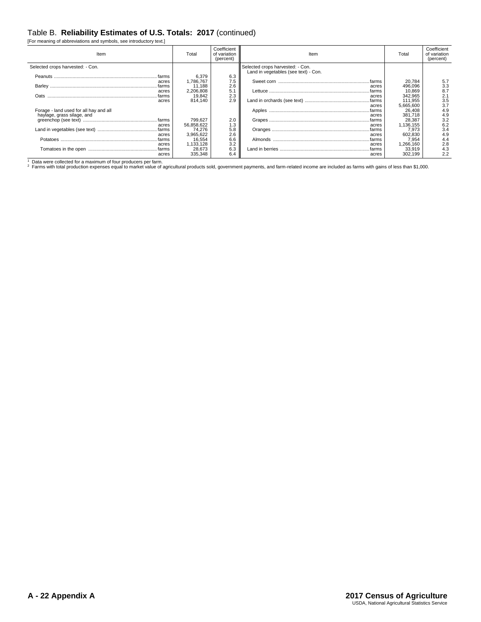#### Table B. **Reliability Estimates of U.S. Totals: 2017** (continued)

[For meaning of abbreviations and symbols, see introductory text.]

| Item                                   | Total      | Coefficient<br>of variation<br>(percent) | Item                                                                     | Total     | Coefficient<br>of variation<br>(percent) |
|----------------------------------------|------------|------------------------------------------|--------------------------------------------------------------------------|-----------|------------------------------------------|
| Selected crops harvested: - Con.       |            |                                          | Selected crops harvested: - Con.<br>Land in vegetables (see text) - Con. |           |                                          |
| . farms                                | 6,379      | 6.3                                      |                                                                          |           |                                          |
| acres                                  | 1.786.767  | 7.5                                      | .farms                                                                   | 20.784    | 5.7                                      |
|                                        | 11.188     | 2.6                                      | acres                                                                    | 496.096   | 3.3                                      |
| acres                                  | 2,206,808  | 5.1                                      | farms                                                                    | 10.869    | 8.7                                      |
| farms<br>Oats                          | 19,842     | 2.3                                      | acres                                                                    | 342,965   | 2.1                                      |
| acres                                  | 814.140    | 2.9                                      | .farms                                                                   | 111.955   | 3.5                                      |
|                                        |            |                                          | acres                                                                    | 5,665,600 | 3.7                                      |
| Forage - land used for all hay and all |            |                                          |                                                                          | 26,408    | 4.9                                      |
| haylage, grass silage, and             |            |                                          | acres                                                                    | 381.718   | 4.9                                      |
|                                        | 799,627    | 2.0                                      |                                                                          | 28,387    | 3.2                                      |
| acres                                  | 56,858,622 | 1.3                                      | acres                                                                    | 1,136,155 | 6.2                                      |
|                                        | 74.276     | 5.8                                      | .farms                                                                   | 7.973     | 3.4                                      |
| acres                                  | 3,965,622  | 2.6                                      | acres                                                                    | 602,830   | 4.9                                      |
| farms                                  | 16,554     | 6.6                                      | farms                                                                    | 7,954     | 4.4                                      |
| acres                                  | 1,133,128  | 3.2                                      | acres                                                                    | 1,266,160 | 2.8                                      |
|                                        | 28,673     | 6.3                                      | farms                                                                    | 33,919    | 4.3                                      |
| acres                                  | 335,348    | 6.4                                      | acres                                                                    | 302.199   | 2.2                                      |

1 Data were collected for a maximum of four producers per farm.<br><sup>2</sup> Farms with total production expenses equal to market value of agricultural products sold, government payments, and farm-related income are included as far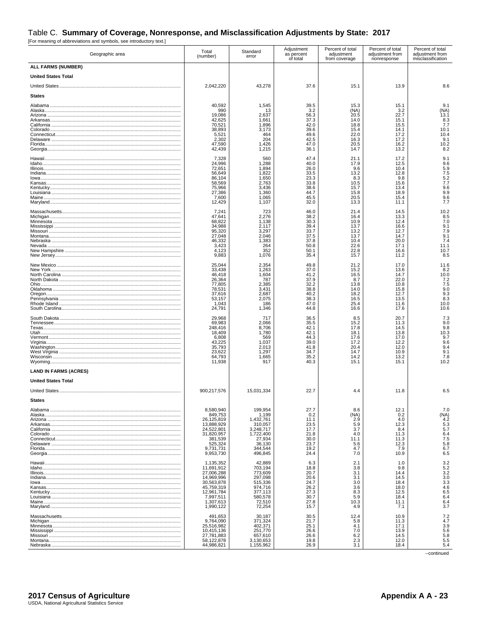## Table C. Summary of Coverage, Nonresponse, and Misclassification Adjustments by State: 2017<br>
[For meaning of abbreviations and symbols, see introductory text.]

| Geographic area              | Total<br>(number)                                                                                                                    | Standard<br>error                                                                                            | Adjustment<br>as percent<br>of total                                         | Percent of total<br>adjustment<br>from coverage                              | Percent of total<br>adjustment from<br>nonresponse                           | Percent of total<br>adjustment from<br>misclassification                |
|------------------------------|--------------------------------------------------------------------------------------------------------------------------------------|--------------------------------------------------------------------------------------------------------------|------------------------------------------------------------------------------|------------------------------------------------------------------------------|------------------------------------------------------------------------------|-------------------------------------------------------------------------|
| ALL FARMS (NUMBER)           |                                                                                                                                      |                                                                                                              |                                                                              |                                                                              |                                                                              |                                                                         |
| <b>United States Total</b>   |                                                                                                                                      |                                                                                                              |                                                                              |                                                                              |                                                                              |                                                                         |
|                              | 2,042,220                                                                                                                            | 43,278                                                                                                       | 37.6                                                                         | 15.1                                                                         | 13.9                                                                         | 8.6                                                                     |
| <b>States</b>                |                                                                                                                                      |                                                                                                              |                                                                              |                                                                              |                                                                              |                                                                         |
|                              | 40.592<br>990<br>19,086<br>42,625<br>70,521<br>38,893<br>5,521<br>2,302<br>47,590<br>42,439                                          | 1,545<br>13<br>2,637<br>1,661<br>1,896<br>3,173<br>464<br>204<br>1,426<br>1,215                              | 39.5<br>3.2<br>56.3<br>37.3<br>42.0<br>39.6<br>49.6<br>42.5<br>47.0<br>36.1  | 15.3<br>(NA)<br>20.5<br>14.0<br>18.8<br>15.4<br>22.0<br>16.3<br>20.5<br>14.7 | 15.1<br>3.2<br>22.7<br>15.1<br>15.5<br>14.1<br>17.2<br>17.2<br>16.2<br>13.2  | 9.1<br>(NA)<br>13.1<br>8.3<br>7.7<br>10.1<br>10.4<br>9.1<br>10.2<br>8.2 |
|                              | 7,328<br>24,996<br>72,651<br>56,649<br>86,104<br>58,569<br>75,966<br>27,386<br>7,600<br>12,429                                       | 560<br>1,288<br>1,894<br>1,822<br>1,650<br>2,763<br>3,436<br>1,360<br>1.065<br>1,107                         | 47.4<br>40.0<br>26.0<br>33.5<br>23.3<br>33.8<br>38.6<br>44.7<br>45.5<br>32.0 | 21.1<br>17.9<br>9.6<br>13.2<br>8.3<br>10.5<br>15.7<br>15.8<br>20.5<br>13.3   | 17.2<br>12.5<br>10.4<br>12.8<br>9.8<br>15.6<br>13.4<br>18.9<br>15.4<br>11.1  | 9.1<br>9.6<br>5.9<br>7.5<br>5.2<br>7.7<br>9.6<br>9.9<br>9.6<br>7.7      |
|                              | 7,241<br>47,641<br>68,822<br>34,988<br>95,320<br>27,048<br>46,332<br>3,423<br>4,123<br>9,883                                         | 723<br>2,276<br>1,138<br>2,117<br>3,297<br>2,046<br>1,383<br>264<br>352<br>1,076                             | 46.0<br>38.2<br>30.3<br>39.4<br>33.7<br>37.5<br>37.8<br>50.8<br>50.1<br>35.4 | 21.4<br>16.4<br>10.9<br>13.7<br>13.2<br>13.7<br>10.4<br>22.6<br>22.8<br>15.7 | 14.5<br>13.3<br>12.4<br>16.6<br>12.7<br>14.7<br>20.0<br>17.1<br>16.6<br>11.2 | 10.2<br>8.5<br>7.0<br>9.1<br>7.9<br>9.1<br>7.4<br>11.1<br>10.7<br>8.5   |
|                              | 25,044<br>33,438<br>46,418<br>26,364<br>77,805<br>78,531<br>37,616<br>53,157<br>1,043<br>24,791                                      | 2,354<br>1,263<br>1,604<br>787<br>2,385<br>3.431<br>2,687<br>2,075<br>186<br>1,346                           | 49.8<br>37.0<br>41.2<br>37.9<br>32.2<br>38.8<br>40.2<br>38.3<br>47.0<br>44.8 | 21.2<br>15.2<br>16.5<br>8.7<br>13.8<br>14.0<br>18.2<br>16.5<br>25.4<br>16.6  | 17.0<br>13.6<br>14.7<br>22.0<br>10.8<br>15.8<br>12.7<br>13.5<br>11.6<br>17.6 | 11.6<br>8.2<br>10.0<br>7.2<br>7.5<br>9.0<br>9.3<br>8.3<br>10.0<br>10.6  |
|                              | 29,968<br>69,983<br>248,416<br>18,409<br>6,808<br>43.225<br>35,793<br>23,622<br>64,793<br>11,938                                     | 717<br>2,066<br>8,706<br>1,780<br>569<br>1,037<br>2.013<br>1,297<br>1,665<br>917                             | 36.5<br>35.5<br>42.1<br>42.1<br>44.3<br>39.0<br>41.8<br>34.7<br>35.2<br>40.3 | 8.5<br>15.2<br>17.8<br>18.1<br>17.6<br>17.2<br>20.4<br>14.7<br>14.2<br>15.1  | 20.7<br>11.3<br>14.5<br>13.8<br>17.0<br>12.2<br>12.0<br>10.9<br>13.2<br>15.1 | 7.3<br>9.0<br>9.8<br>10.3<br>9.7<br>9.6<br>9.4<br>9.1<br>7.8<br>10.2    |
| <b>LAND IN FARMS (ACRES)</b> |                                                                                                                                      |                                                                                                              |                                                                              |                                                                              |                                                                              |                                                                         |
| <b>United States Total</b>   |                                                                                                                                      |                                                                                                              |                                                                              |                                                                              |                                                                              |                                                                         |
|                              | 900,217,576                                                                                                                          | 15,031,334                                                                                                   | 22.7                                                                         | 4.4                                                                          | 11.8                                                                         | 6.5                                                                     |
| <b>States</b>                | 8,580,940<br>849,753<br>26,125,819<br>13,888,929<br>24,522,801<br>31,820,957<br>381,539<br>525,324<br>9,731,731<br>9,953,730         | 199,954<br>1,199<br>1,432,761<br>310,057<br>3.248.717<br>1,722,400<br>27,934<br>36,130<br>344,544<br>496,845 | 27.7<br>0.2<br>11.1<br>23.5<br>17.7<br>21.8<br>30.0<br>23.7<br>19.2<br>24.4  | 8.6<br>(NA)<br>2.9<br>5.9<br>3.7<br>4.0<br>11.1<br>5.6<br>4.7<br>7.0         | 12.1<br>0.2<br>4.0<br>12.3<br>8.4<br>11.3<br>11.3<br>12.3<br>7.9<br>10.9     | 7.0<br>(NA)<br>4.2<br>5.3<br>5.7<br>6.4<br>7.5<br>5.8<br>6.7<br>6.5     |
|                              | 1,135,352<br>11,691,912<br>27,006,288<br>14.969.996<br>30,563,878<br>45,759,319<br>12,961,784<br>7,997,511<br>1,307,613<br>1,990,122 | 42,889<br>703,194<br>773,609<br>297,098<br>515,336<br>974,716<br>377,113<br>580,578<br>72,510<br>72,254      | 6.3<br>18.8<br>20.7<br>20.6<br>24.7<br>26.2<br>27.3<br>30.7<br>27.8<br>15.7  | 2.1<br>3.8<br>3.1<br>3.1<br>3.0<br>3.6<br>8.3<br>5.9<br>10.3<br>4.9          | 1.0<br>9.8<br>14.4<br>14.5<br>18.4<br>18.0<br>12.5<br>18.4<br>11.1<br>7.1    | 3.2<br>5.2<br>3.2<br>3.0<br>3.3<br>4.6<br>6.5<br>6.4<br>6.4<br>3.7      |
|                              | 491,653<br>9,764,090<br>25,516,982<br>10,415,136<br>27,781,883<br>58,122,878<br>44,986,821                                           | 30,187<br>371,324<br>402,371<br>251,770<br>657,610<br>3,130,653<br>1,155,962                                 | 30.5<br>21.7<br>25.1<br>26.6<br>26.6<br>19.8<br>26.9                         | 12.4<br>5.8<br>4.1<br>7.0<br>6.2<br>2.3<br>3.1                               | 10.9<br>11.3<br>17.1<br>13.9<br>14.5<br>12.0<br>18.4                         | 7.2<br>4.7<br>3.9<br>5.6<br>5.8<br>5.5<br>5.4                           |

--continued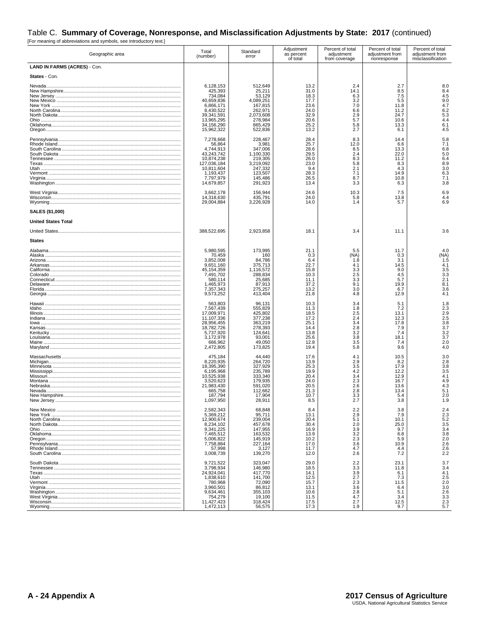# Table C. Summary of Coverage, Nonresponse, and Misclassification Adjustments by State: 2017 (continued)<br>
[For meaning of abbreviations and symbols, see introductory text.]

| Geographic area                                     | Total<br>(number)                                                                                                                                  | Standard<br>error                                                                                                          | Adjustment<br>as percent<br>of total                                                       | Percent of total<br>adjustment<br>from coverage                                   | Percent of total<br>adjustment from<br>nonresponse                                   | Percent of total<br>adjustment from<br>misclassification                   |
|-----------------------------------------------------|----------------------------------------------------------------------------------------------------------------------------------------------------|----------------------------------------------------------------------------------------------------------------------------|--------------------------------------------------------------------------------------------|-----------------------------------------------------------------------------------|--------------------------------------------------------------------------------------|----------------------------------------------------------------------------|
| LAND IN FARMS (ACRES) - Con.                        |                                                                                                                                                    |                                                                                                                            |                                                                                            |                                                                                   |                                                                                      |                                                                            |
| States - Con.                                       |                                                                                                                                                    |                                                                                                                            |                                                                                            |                                                                                   |                                                                                      |                                                                            |
|                                                     | 6,128,153<br>425,393<br>734,084<br>40,659,836<br>6,866,171<br>8.430.522<br>39,341,591<br>13,965,295<br>34,156,290<br>15,962,322                    | 512,649<br>25,211<br>53,129<br>4,089,251<br>167,815<br>262,971<br>2,073,608<br>278,984<br>865,429<br>522,836               | 13.2<br>31.0<br>18.3<br>17.7<br>23.6<br>24.0<br>32.9<br>20.6<br>25.2<br>13.2               | 2.4<br>14.1<br>6.3<br>3.2<br>7.0<br>6.6<br>2.9<br>5.7<br>5.8<br>2.7               | 2.7<br>8.5<br>7.5<br>5.5<br>11.8<br>11.2<br>24.7<br>10.6<br>13.3<br>6.1              | 8.0<br>8.4<br>4.5<br>9.0<br>4.7<br>6.2<br>5.3<br>4.4<br>6.1<br>4.5         |
|                                                     | 7,278,668<br>56,864<br>4,744,913<br>43,243,742<br>10,874,238<br>127,036,184<br>10,811,604<br>1,193,437<br>7,797,979<br>14,679,857                  | 228,467<br>3,981<br>347,006<br>1,100,330<br>219,305<br>3,219,092<br>247,332<br>123,507<br>145,486<br>291,923               | 28.4<br>25.7<br>28.6<br>29.5<br>26.0<br>23.0<br>9.4<br>28.3<br>26.5<br>13.4                | 8.3<br>12.0<br>8.5<br>2.4<br>8.3<br>5.8<br>2.1<br>7.1<br>8.7<br>3.3               | 14.4<br>6.6<br>13.3<br>22.0<br>11.2<br>8.3<br>4.3<br>14.9<br>10.8<br>6.3             | 5.8<br>7.1<br>6.8<br>5.0<br>6.4<br>8.9<br>3.0<br>6.3<br>7.1<br>3.8         |
|                                                     | 3,662,178<br>14,318,630<br>29,004,884                                                                                                              | 156,944<br>435,791<br>3,226,928                                                                                            | 24.6<br>24.0<br>14.0                                                                       | 10.3<br>5.8<br>1.4                                                                | 7.5<br>13.8<br>5.7                                                                   | 6.9<br>4.4<br>6.9                                                          |
| <b>SALES (\$1,000)</b>                              |                                                                                                                                                    |                                                                                                                            |                                                                                            |                                                                                   |                                                                                      |                                                                            |
| <b>United States Total</b>                          |                                                                                                                                                    |                                                                                                                            |                                                                                            |                                                                                   |                                                                                      |                                                                            |
|                                                     | 388,522,695                                                                                                                                        | 2,923,858                                                                                                                  | 18.1                                                                                       | 3.4                                                                               | 11.1                                                                                 | 3.6                                                                        |
| <b>States</b>                                       |                                                                                                                                                    |                                                                                                                            |                                                                                            |                                                                                   |                                                                                      |                                                                            |
|                                                     | 5,980,595<br>70,459<br>3,852,008<br>9,651,160<br>45,154,359<br>7,491,702<br>580,114<br>1,465,973<br>7,357,343<br>9,573,252<br>563.803<br>7,567,439 | 173,995<br>160<br>84.786<br>375,713<br>1,116,572<br>288,834<br>25,685<br>87,913<br>275,257<br>413,404<br>96,131<br>555,829 | 21.1<br>0.3<br>6.4<br>22.7<br>15.8<br>10.3<br>11.1<br>37.2<br>13.2<br>21.8<br>10.3<br>11.3 | 5.5<br>(NA)<br>1.8<br>4.1<br>3.3<br>2.5<br>3.3<br>9.1<br>3.0<br>4.8<br>3.4<br>1.8 | 11.7<br>0.3<br>3.1<br>14.5<br>9.0<br>4.5<br>5.7<br>19.9<br>6.7<br>12.9<br>5.1<br>7.2 | 4.0<br>(NA)<br>1.5<br>4.1<br>3.5<br>3.3<br>2.1<br>8.1<br>3.6<br>4.1<br>1.8 |
| <u>Illinois ……………………………………………………………………………………………</u> | 17,009,971<br>11,107,336<br>28,956,455<br>18,782,726<br>5,737,920<br>3,172,978<br>666,962<br>2,472,805                                             | 425,802<br>377,238<br>363,219<br>278,393<br>124,641<br>93,001<br>49,050<br>173,825                                         | 18.5<br>17.2<br>25.1<br>14.4<br>13.8<br>25.6<br>12.8<br>19.4                               | 2.5<br>2.4<br>3.4<br>2.8<br>3.2<br>3.8<br>3.5<br>5.8                              | 13.1<br>12.3<br>17.8<br>7.9<br>7.4<br>18.1<br>7.4<br>9.6                             | $\frac{2.3}{2.9}$<br>2.5<br>3.8<br>3.7<br>3.2<br>3.7<br>2.0<br>4.0         |
|                                                     | 475,184<br>8,220,935<br>18,395,390<br>6,195,968<br>10,525,938<br>3,520,623<br>21,983,430<br>665,758<br>187,794<br>1,097,950                        | 44.440<br>264,720<br>327,929<br>235,789<br>333,340<br>179,935<br>591,020<br>112,662<br>17,904<br>28,911                    | 17.6<br>13.9<br>25.3<br>19.9<br>20.4<br>24.0<br>20.5<br>21.3<br>10.7<br>8.5                | 4.1<br>2.9<br>3.5<br>4.2<br>3.4<br>2.3<br>2.6<br>2.8<br>3.3<br>2.7                | 10.5<br>8.2<br>17.9<br>12.2<br>12.9<br>16.7<br>13.6<br>13.4<br>5.4<br>3.8            | 3.0<br>2.8<br>3.8<br>3.5<br>4.1<br>4.9<br>4.3<br>5.1<br>2.0<br>1.9         |
|                                                     | 2,582,343<br>5,369,212<br>12,900,674<br>8,234,102<br>9,341,225<br>7,465,512<br>5,006,822<br>7.758.884<br>57,998<br>3,008,739                       | 68,848<br>95,711<br>239,004<br>457,678<br>147,955<br>163,532<br>145,919<br>227,164<br>3,127<br>139,270                     | 8.4<br>13.1<br>20.4<br>30.4<br>16.9<br>13.9<br>10.2<br>17.0<br>11.7<br>12.0                | 2.2<br>2.9<br>5.1<br>2.0<br>3.9<br>3.2<br>2.3<br>3.6<br>4.7<br>2.6                | 3.8<br>7.9<br>10.1<br>25.0<br>9.7<br>6.8<br>5.9<br>10.9<br>4.4<br>7.2                | 2.4<br>2.3<br>$\frac{5.2}{3.5}$<br>$\frac{3.8}{2.0}$<br>$^{2.6}_{2.2}$     |
|                                                     | 9,721,522<br>3,798,934<br>24,924,041<br>1,838,610<br>780,968<br>3,960,501<br>9.634.461<br>754,279<br>11,427,423<br>1,472,113                       | 323,047<br>146,980<br>417,770<br>141,700<br>72,090<br>86,812<br>355,103<br>19,100<br>318,424<br>56,575                     | 29.0<br>18.5<br>14.1<br>12.5<br>15.7<br>13.1<br>10.6<br>11.5<br>17.5<br>17.3               | 2.2<br>3.3<br>3.9<br>2.7<br>2.3<br>3.6<br>2.8<br>4.7<br>2.7<br>1.9                | 23.1<br>11.8<br>6.1<br>7.3<br>11.5<br>6.4<br>5.1<br>3.4<br>12.5<br>9.7               | 3.7<br>3.4<br>4.1<br>2.5<br>2.0<br>3.0<br>2.6<br>3.3<br>2.3<br>5.7         |